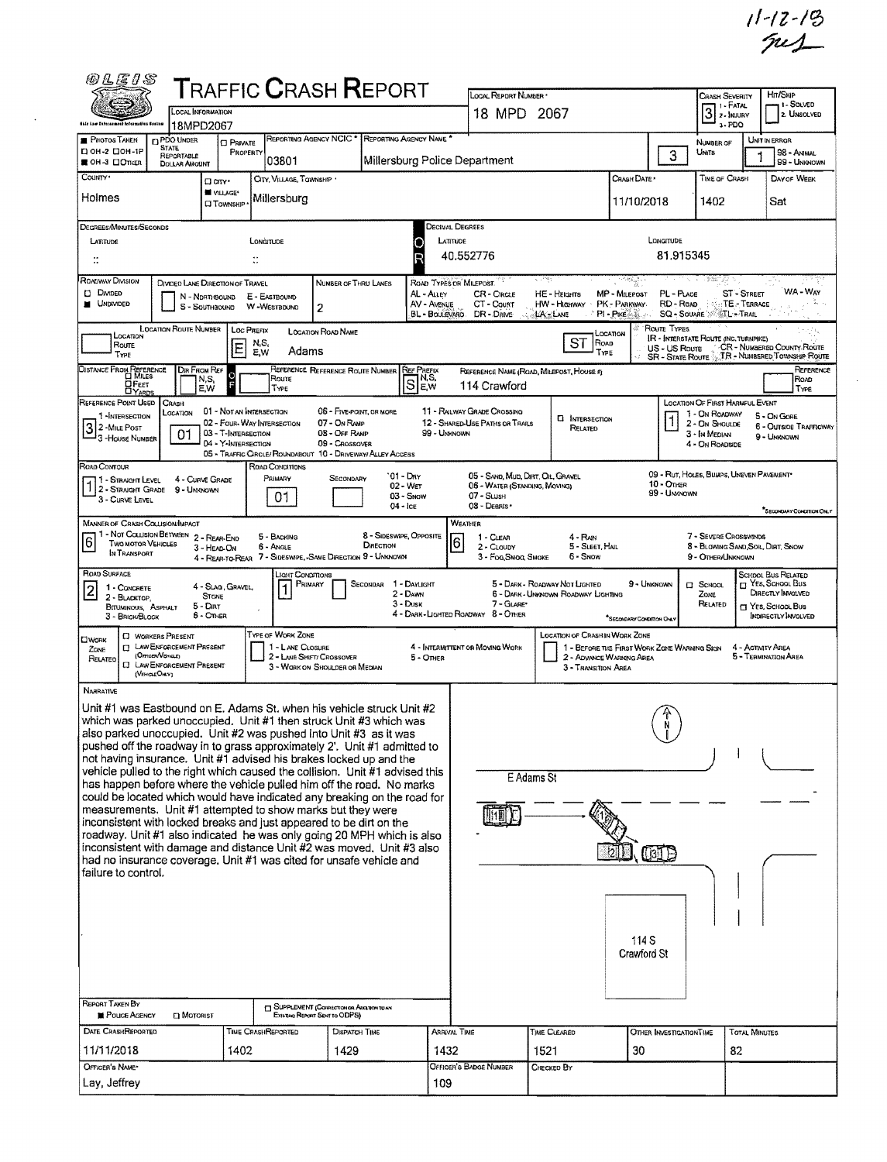|                                                                                                                                  |                                                                                                                                         |                                                                        |                                            |                                                                                                                                                                                                                                                                                                                                                                                                                                                                                                                             |                                                    |                                                          |                                                                                                   |                                                                       |                                                                                                                                                                                                                                                                                         |                                                                         |                                                                                                                |                                       | $11 - 12 - 19$                                                                                                  |  |
|----------------------------------------------------------------------------------------------------------------------------------|-----------------------------------------------------------------------------------------------------------------------------------------|------------------------------------------------------------------------|--------------------------------------------|-----------------------------------------------------------------------------------------------------------------------------------------------------------------------------------------------------------------------------------------------------------------------------------------------------------------------------------------------------------------------------------------------------------------------------------------------------------------------------------------------------------------------------|----------------------------------------------------|----------------------------------------------------------|---------------------------------------------------------------------------------------------------|-----------------------------------------------------------------------|-----------------------------------------------------------------------------------------------------------------------------------------------------------------------------------------------------------------------------------------------------------------------------------------|-------------------------------------------------------------------------|----------------------------------------------------------------------------------------------------------------|---------------------------------------|-----------------------------------------------------------------------------------------------------------------|--|
| <i>©LEIS</i>                                                                                                                     |                                                                                                                                         | LOCAL INFORMATION                                                      |                                            | <b>T</b> RAFFIC <b>C</b> RASH <b>R</b> EPORT                                                                                                                                                                                                                                                                                                                                                                                                                                                                                |                                                    |                                                          | LOCAL REPORT NUMBER .<br>18 MPD 2067                                                              |                                                                       |                                                                                                                                                                                                                                                                                         |                                                                         | <b>CRASH SEVERITY</b><br>1 - FATAL<br>$3$ $\frac{1.444}{2.1}$ MJURY                                            | Hrt/Skip<br>1 - SOLVED<br>2. UNSOLVED |                                                                                                                 |  |
| ühiş kaw Tafarasmeni information Spoken<br>PHOTOS TAKEN                                                                          | <b>D</b> PDO UNDER                                                                                                                      | 18MPD2067<br><b>CI PRIVATE</b>                                         |                                            | REPORTING AGENCY NCIC <sup>*</sup>                                                                                                                                                                                                                                                                                                                                                                                                                                                                                          | REPORTING AGENCY NAME *                            |                                                          |                                                                                                   |                                                                       |                                                                                                                                                                                                                                                                                         |                                                                         | $3 - PDO$<br>NUMBER OF                                                                                         |                                       | UNIT IN ERROR                                                                                                   |  |
| D он -2 Don-1P<br>■ OH-3 □OntER                                                                                                  | <b>STATE</b><br>REPORTABLE<br><b>DOLLAR AMOUNT</b>                                                                                      | PROPERTY                                                               | 03801                                      |                                                                                                                                                                                                                                                                                                                                                                                                                                                                                                                             |                                                    |                                                          | Millersburg Police Department                                                                     |                                                                       |                                                                                                                                                                                                                                                                                         | 3                                                                       | Units                                                                                                          |                                       | <b>98 - ANMAL</b><br>99 - UNKNOWN                                                                               |  |
| COUNTY <sup>*</sup><br>Holmes                                                                                                    |                                                                                                                                         | aan.<br>W VILLAGE*<br><b>CI TOWNSHIP</b>                               | CITY, VILLAGE, TOWNSHIP .<br>Millersburg   |                                                                                                                                                                                                                                                                                                                                                                                                                                                                                                                             |                                                    |                                                          |                                                                                                   |                                                                       | CRASH DATE *<br>11/10/2018                                                                                                                                                                                                                                                              | <b>TIME OF CRASH</b><br>1402                                            |                                                                                                                | DAY OF WEEK<br>Sat                    |                                                                                                                 |  |
| DEGREES/MINUTES/SECONDS<br>LATITUDE                                                                                              |                                                                                                                                         |                                                                        | LONGITUDE                                  |                                                                                                                                                                                                                                                                                                                                                                                                                                                                                                                             | O<br>R                                             | DECIMAL DEGREES<br>LATTUDE                               | 40.552776                                                                                         |                                                                       |                                                                                                                                                                                                                                                                                         | LONGITUDE<br>81.915345                                                  |                                                                                                                |                                       |                                                                                                                 |  |
| ROADWAY DIVISION<br><b>D</b> DMDED<br><b>NO UNDIVIDED</b>                                                                        |                                                                                                                                         | DIVIDED LANE DIRECTION OF TRAVEL<br>N - NORTHBOUND<br>S - SOUTHBOUND   | E - EASTBOUND<br>W-WESTBDUND               | NUMBER OF THRU LANES<br>2                                                                                                                                                                                                                                                                                                                                                                                                                                                                                                   | AL - ALLEY                                         | ROAD TYPES OR MILEPOST.<br>AV - AVENUE<br>BL - BOULEVARD | CR - CIRCLE<br>CT - Count<br>DR - Dave                                                            | وليزر -<br>HE - HEIGHTS<br>HW - Highway<br>LA LANE                    | r de de de gronde de la propiedad de la propiedad de la propiedad de la propiedad de la propiedad de la propi<br>De la propiedad de la propiedad de la propiedad de la propiedad de la propiedad de la propiedad de la propieda<br><b>MP - MILEPOST</b><br>PK - PARKWAY<br>$PI - P$ ike | PL - PLACE<br>RD - RDAD                                                 | <b>SQ - SOUARE SOUTL - TRAIL</b>                                                                               | <b>ST - STREET</b><br>TE - TERRACE    | WA - Way                                                                                                        |  |
| LOCATION<br>Route<br>Type                                                                                                        | LOCATION ROUTE NUMBER                                                                                                                   | Ε                                                                      | <b>LOC PREFIX</b><br>N,S,<br>E, W<br>Adams | <b>LOGATION ROAD NAME</b>                                                                                                                                                                                                                                                                                                                                                                                                                                                                                                   |                                                    |                                                          |                                                                                                   | ST<br>ROAD                                                            | Location<br>TYPE                                                                                                                                                                                                                                                                        | <b>ROUTE TYPES</b><br>US - US Roure<br><b>SR - STATE ROUTE</b>          | IR - INTERSTATE ROUTE (INC. TURNPIKE)                                                                          |                                       | CR - NUMBERED COUNTY ROUTE<br>TR - NUMBERED TOWNSHIP ROUT                                                       |  |
| DISTANCE FROM REFERENCE<br><b>DFEET</b><br><b>DYARDS</b>                                                                         |                                                                                                                                         | <b>DIR FROM REF</b><br>N,S,<br>E,W                                     | Roure<br>TYPE                              | REFERENCE REFERENCE ROUTE NUMBER REF PREFIX                                                                                                                                                                                                                                                                                                                                                                                                                                                                                 | $\overline{S}$ p.s.                                |                                                          | 114 Crawford                                                                                      | REFERENCE NAME (ROAD, MILEPOST, HOUSE #)                              |                                                                                                                                                                                                                                                                                         |                                                                         |                                                                                                                |                                       | REFERENC<br>ROAD<br>TYPE                                                                                        |  |
| REFERENCE POINT USED<br>1 -INTERSECTION<br>3 2 - MILE POST<br>3 - House Number                                                   | Crash<br>LOCATION<br>01                                                                                                                 | 01 - Not an Intersection<br>03 - T-INTERSECTION<br>04 - Y-INTERSECTION | 02 - FOUR WAY INTERSECTION                 | 06 - FIVE-POINT, OR MORE<br>07 - On RAMP<br>08 - OFF RAMP<br>09 - Crossover<br>05 - TRAFFIC CIRCLE/ ROUNDABOUT 10 - DRIVEWAY/ ALLEY ACCESS                                                                                                                                                                                                                                                                                                                                                                                  |                                                    | 99 - Unknown                                             | 11 - RAILWAY GRADE CROSSING<br>12 - SHARED-USE PATHS OR TRAILS                                    | <b>El INTERSECTION</b><br>RELATED                                     |                                                                                                                                                                                                                                                                                         |                                                                         | <b>LOCATION OF FIRST HARMFUL EVENT</b><br>1 - On ROADWAY<br>2 - On Shoulde<br>3 - In Median<br>4 - ON ROADSIDE |                                       | 5 - On Gore<br>6 - Outside Trafficw<br>9 - UMKNOWN                                                              |  |
| ROAD CONTOUR<br>1 - STRAIGHT LEVEL<br>1 2 - STRAIGHT GRADE<br>3 - CURVE LEVEL                                                    | 9 - UNKNOWN                                                                                                                             | 4 - CURVE GRADE                                                        | ROAD CONDITIONS<br>Primary<br>01           | Secondary                                                                                                                                                                                                                                                                                                                                                                                                                                                                                                                   | '01 - Day<br>02 - Wet<br>$03 -$ SNOW<br>$04 -$ Ice |                                                          | 05 - SAND, MUD, DIRT, OIL, GRAVEL<br>06 - WATER (STANDING, MOVING)<br>07 - SLUSH<br>08 - Deants · |                                                                       |                                                                                                                                                                                                                                                                                         | 10 - OTHER<br>99 - UNKNOWN                                              | 09 - Rut, HOLES, BUMPS, UNEVEN PAVEMENT*                                                                       |                                       | <b>SECONDARY CONDITION ON</b>                                                                                   |  |
| <b>MANNER OF CRASH COLLISION/IMPACT</b><br>1 - Not Collision Between<br>$6 \overline{6}$<br>Two MOTOR VEHICLES<br>IN TRANSPORT   |                                                                                                                                         | 2 - REAR-END<br>3 - HEAD-ON                                            | 5 - BACKING<br><b>6 - ANGLE</b>            | DIRECTION<br>4 - REAR-TO-REAR 7 - SIDESWIPE, SAME DIRECTION 9 - UNKNOWN                                                                                                                                                                                                                                                                                                                                                                                                                                                     | 8 - SIDESWIPE, OPPOSITE                            | 6                                                        | Weather<br>1 - CLEAR<br>2 - CLOUDY<br>3 - Fog, Smog, Smoke                                        | 4 - RAIN<br>5 - Sleet, Hail<br>6 - Snow                               |                                                                                                                                                                                                                                                                                         |                                                                         | 7 - Severe Crosswinds<br>8 - Blowing Sand Soil, Dirt, Snow<br>9 - Other/Unknown                                |                                       |                                                                                                                 |  |
| <b>ROAD SURFACE</b><br>1 - CONCRETE<br>$\overline{\mathsf{2}}$<br>2 - BLACKTOP.<br><b>BITUMINOUS, ASPHALT</b><br>3 - BRICK/BLOCK |                                                                                                                                         | 4 - Slag, Gravel,<br><b>STONE</b><br>5 - Dirt<br>6 - Office            | <b>JGHT CONDITIONS</b><br>$\mathbf{1}$     | PRIMARY<br>SECONDAR                                                                                                                                                                                                                                                                                                                                                                                                                                                                                                         | 1 - DAYLIGHT<br>2 - DAWN<br>3 - Dusk               |                                                          | 7 - GLARE*<br>4 - DARK - LIGHTED ROADWAY 8 - OTHER                                                | 5 - DARK - ROADWAY NOT LIGHTED<br>6 - DARK - UNKNOWN ROADWAY LIGHTING | *SECORDARY CONDITION ONLY                                                                                                                                                                                                                                                               | 9 - Unimown                                                             | $\square$ School<br>ZONE<br><b>RELATED</b>                                                                     |                                       | School Bus Related<br>T YES, SCHOOL BUS<br>DIRECTLY INVOLVED<br><b>T</b> Yes, School Bus<br>INDIRECTLY INVOLVED |  |
| <b>CIWORK</b><br>ZONE<br>RELATED                                                                                                 | <b>C WORKERS PRESENT</b><br><b>CI LAW ENFORCEMENT PRESENT</b><br>(Orncen/Vexaux)<br><b>CJ</b> LAW ENFORCEMENT PRESENT<br>(VEHICLE OILY) |                                                                        | TYPE OF WORK ZONE<br>1 - LANE CLOSURE      | 2 - LANE SHIFT/ CROSSOVER<br>3 - WORK ON SHOULDER OR MEDIAN                                                                                                                                                                                                                                                                                                                                                                                                                                                                 |                                                    | 5 - Onier                                                | 4 - INTERMITTENT OR MOVING WORK                                                                   | LOCATION OF CRASH IN WORK ZONE<br>3 - TRANSITION AREA                 |                                                                                                                                                                                                                                                                                         | 1 - BEFORE THE FIRST WORK ZONE WARNING SIGN<br>2 - Advance Warning Area |                                                                                                                | 4 - ACTIVITY AREA                     | 5 - Termination Area                                                                                            |  |
| <b>NARRATIVE</b>                                                                                                                 |                                                                                                                                         |                                                                        |                                            | Unit #1 was Eastbound on E. Adams St. when his vehicle struck Unit #2<br>which was parked unoccupied. Unit #1 then struck Unit #3 which was<br>also parked unoccupied. Unit #2 was pushed into Unit #3 as it was<br>pushed off the roadway in to grass approximately 2'. Unit #1 admitted to<br>not having insurance. Unit #1 advised his brakes locked up and the<br>vehicle pulled to the right which caused the collision. Unit #1 advised this<br>has happen before where the vehicle pulled him off the road. No marks |                                                    |                                                          | E Adams St<br>131E                                                                                |                                                                       |                                                                                                                                                                                                                                                                                         |                                                                         |                                                                                                                |                                       |                                                                                                                 |  |
|                                                                                                                                  |                                                                                                                                         |                                                                        |                                            | could be located which would have indicated any breaking on the road for<br>measurements. Unit #1 attempted to show marks but they were<br>inconsistent with locked breaks and just appeared to be dirt on the<br>roadway. Unit #1 also indicated he was only going 20 MPH which is also<br>inconsistent with damage and distance Unit #2 was moved. Unit #3 also<br>had no insurance coverage. Unit #1 was cited for unsafe vehicle and                                                                                    |                                                    |                                                          |                                                                                                   |                                                                       |                                                                                                                                                                                                                                                                                         |                                                                         |                                                                                                                |                                       |                                                                                                                 |  |
| failure to control.                                                                                                              |                                                                                                                                         |                                                                        |                                            |                                                                                                                                                                                                                                                                                                                                                                                                                                                                                                                             |                                                    |                                                          |                                                                                                   |                                                                       |                                                                                                                                                                                                                                                                                         |                                                                         |                                                                                                                |                                       |                                                                                                                 |  |
|                                                                                                                                  |                                                                                                                                         |                                                                        |                                            |                                                                                                                                                                                                                                                                                                                                                                                                                                                                                                                             |                                                    |                                                          |                                                                                                   |                                                                       | 114 S<br>Crawford St                                                                                                                                                                                                                                                                    |                                                                         |                                                                                                                |                                       |                                                                                                                 |  |
| <b>REPORT TAKEN BY</b><br>POLICE AGENCY                                                                                          | <b>D</b> MOTORIST                                                                                                                       |                                                                        |                                            | <b>El SUPPLEMENT (CONNECTION OR ACCEDITORIES)</b><br>EXISTING REPORT SENT TO ODPS)                                                                                                                                                                                                                                                                                                                                                                                                                                          |                                                    |                                                          |                                                                                                   |                                                                       |                                                                                                                                                                                                                                                                                         |                                                                         |                                                                                                                |                                       |                                                                                                                 |  |
| DATE CRASHREPORTED<br>11/11/2018                                                                                                 |                                                                                                                                         | 1402                                                                   | TIME CRASHREPORTED                         | <b>DISPATCH TIME</b><br>1429                                                                                                                                                                                                                                                                                                                                                                                                                                                                                                |                                                    | <b>ARRIVAL TIME</b><br>1432                              |                                                                                                   | TIME CLEARED<br>1521                                                  | 30                                                                                                                                                                                                                                                                                      | OTHER INVESTIGATION TIME                                                |                                                                                                                | <b>TOTAL MINUTES</b><br>82            |                                                                                                                 |  |
| OFFICER'S NAME*<br>Lay, Jeffrey                                                                                                  |                                                                                                                                         |                                                                        |                                            |                                                                                                                                                                                                                                                                                                                                                                                                                                                                                                                             |                                                    | 109                                                      | <b>OFFICER'S BADGE NUMBER</b>                                                                     | CHECKED BY                                                            |                                                                                                                                                                                                                                                                                         |                                                                         |                                                                                                                |                                       |                                                                                                                 |  |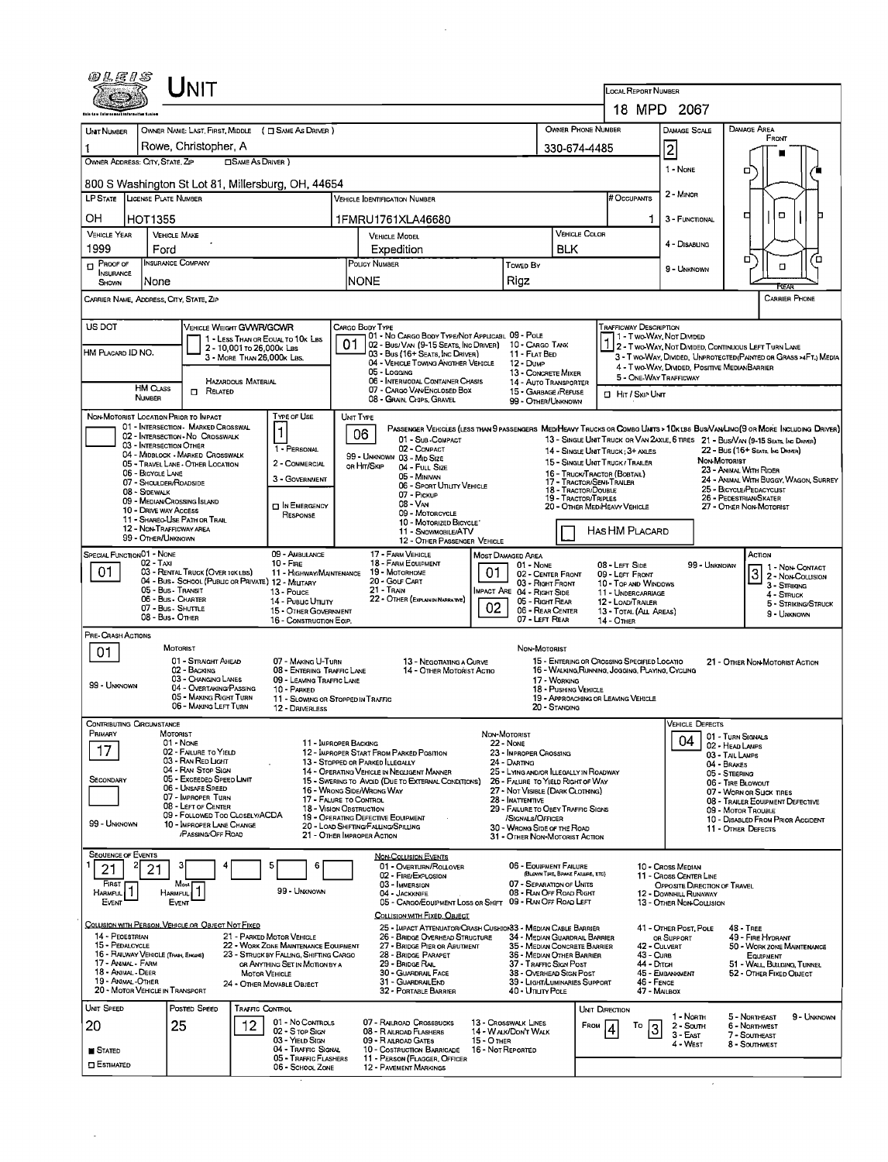| 0 L E I S                                                                                                               | INIT                                                                                                                                                                                                                                                                                                                                                                                  |                                                                          |                                                                                                                |                                                                                                                                 |                                                                                 | <b>LOCAL REPORT NUMBER</b>                                                                      |                                                                                 |                                                                   |  |  |  |  |  |
|-------------------------------------------------------------------------------------------------------------------------|---------------------------------------------------------------------------------------------------------------------------------------------------------------------------------------------------------------------------------------------------------------------------------------------------------------------------------------------------------------------------------------|--------------------------------------------------------------------------|----------------------------------------------------------------------------------------------------------------|---------------------------------------------------------------------------------------------------------------------------------|---------------------------------------------------------------------------------|-------------------------------------------------------------------------------------------------|---------------------------------------------------------------------------------|-------------------------------------------------------------------|--|--|--|--|--|
|                                                                                                                         |                                                                                                                                                                                                                                                                                                                                                                                       | 18 MPD 2067                                                              |                                                                                                                |                                                                                                                                 |                                                                                 |                                                                                                 |                                                                                 |                                                                   |  |  |  |  |  |
| <b>UNT NUMBER</b>                                                                                                       | OWNER NAME: LAST, FIRST, MIDDLE ( C SAME AS DRIVER )                                                                                                                                                                                                                                                                                                                                  |                                                                          |                                                                                                                |                                                                                                                                 | <b>OWNER PHONE NUMBER</b>                                                       |                                                                                                 | DAMAGE SCALE                                                                    | DAMAGE AREA                                                       |  |  |  |  |  |
| 1                                                                                                                       | Rowe, Christopher, A                                                                                                                                                                                                                                                                                                                                                                  |                                                                          | 330-674-4485                                                                                                   |                                                                                                                                 | $\overline{\mathbf{c}}$                                                         | FRONT                                                                                           |                                                                                 |                                                                   |  |  |  |  |  |
| OWNER ADDRESS: CITY, STATE, ZIP                                                                                         | <b>SAME AS DRIVER</b> )                                                                                                                                                                                                                                                                                                                                                               |                                                                          | α                                                                                                              |                                                                                                                                 |                                                                                 |                                                                                                 |                                                                                 |                                                                   |  |  |  |  |  |
|                                                                                                                         | 800 S Washington St Lot 81, Millersburg, OH, 44654                                                                                                                                                                                                                                                                                                                                    | 2 - MINOR                                                                |                                                                                                                |                                                                                                                                 |                                                                                 |                                                                                                 |                                                                                 |                                                                   |  |  |  |  |  |
| LP STATE   LICENSE PLATE NUMBER                                                                                         |                                                                                                                                                                                                                                                                                                                                                                                       | # Occupants                                                              |                                                                                                                |                                                                                                                                 |                                                                                 |                                                                                                 |                                                                                 |                                                                   |  |  |  |  |  |
| OН<br><b>HOT1355</b>                                                                                                    |                                                                                                                                                                                                                                                                                                                                                                                       | 1FMRU1761XLA46680                                                        | <b>VEHICLE COLOR</b>                                                                                           | 1                                                                                                                               | 3 - FUNCTIONAL                                                                  | o<br>о                                                                                          |                                                                                 |                                                                   |  |  |  |  |  |
| <b>VEHICLE YEAR</b><br>1999<br>Ford                                                                                     | <b>VEHICLE MAKE</b>                                                                                                                                                                                                                                                                                                                                                                   |                                                                          | <b>VEHICLE MODEL</b><br>Expedition                                                                             |                                                                                                                                 | <b>BLK</b>                                                                      |                                                                                                 | 4 - DISABUNG                                                                    |                                                                   |  |  |  |  |  |
| $P_{\text{ROOF OF}}$<br><b>NSURANCE</b><br>None<br>SHOWN                                                                | <b>INSURANCE COMPANY</b>                                                                                                                                                                                                                                                                                                                                                              |                                                                          | POLICY NUMBER<br>INONE                                                                                         | Towep By<br>Rigz                                                                                                                |                                                                                 |                                                                                                 | 9 - UNKNOWN                                                                     | □<br>Έ<br>□                                                       |  |  |  |  |  |
| CARRIER NAME, ADDRESS, CITY, STATE, ZIP                                                                                 |                                                                                                                                                                                                                                                                                                                                                                                       |                                                                          | <b>REAR</b><br><b>CARRIER PHONE</b>                                                                            |                                                                                                                                 |                                                                                 |                                                                                                 |                                                                                 |                                                                   |  |  |  |  |  |
| US DOT<br>VEHICLE WEIGHT GVWR/GCWR<br>CARGO BODY TYPE<br>Trafficway Description                                         |                                                                                                                                                                                                                                                                                                                                                                                       |                                                                          |                                                                                                                |                                                                                                                                 |                                                                                 |                                                                                                 |                                                                                 |                                                                   |  |  |  |  |  |
| HM PLACARD ID NO.                                                                                                       | 1 - LESS THAN OR EQUAL TO 10K LBS<br>2 - 10,001 To 26,000 K LBS                                                                                                                                                                                                                                                                                                                       |                                                                          | 01 - No CARGO BODY TYPE/NOT APPLICABL 09 - POLE<br>01<br>02 - Bus/Van (9-15 Seats, Inc Driver) 10 - Cargo Tank |                                                                                                                                 |                                                                                 |                                                                                                 | 1 - T wo-Way, Not DIMDED                                                        | $\frac{1}{2}$ 2 - Two-Way, Not Divided, Continuous Left Turn Lane |  |  |  |  |  |
|                                                                                                                         | 3 - MORE THAN 26,000K LBS.                                                                                                                                                                                                                                                                                                                                                            |                                                                          | 03 - Bus (16+ SEATS, INC DRIVER)<br>04 - VEHICLE TOWING ANGTHER VEHICLE<br>05 - LOGGING                        | 11 - FLAT BED<br>12 - Dump<br>13 - CONCRETE MIXER                                                                               |                                                                                 |                                                                                                 | 4 - Two-Way, DIVIDED, POSITIVE MEDIANBARRIER                                    | 3 - T WO-WAY, DIMDED, UNPROTECTED (PAINTED OR GRASS >4FT.) MEDIA  |  |  |  |  |  |
| <b>HM CLASS</b>                                                                                                         | HAZARDOUS MATERIAL<br>$\Box$ Related                                                                                                                                                                                                                                                                                                                                                  |                                                                          | 06 - INTERMODAL CONTAINER CHASIS<br>07 - CARGO VAN/ENCLOSED BOX                                                | 15 - GARBAGE / REFUSE                                                                                                           | 14 - Auto Transporter                                                           | 5 - ONE-WAY TRAFFICWAY                                                                          |                                                                                 |                                                                   |  |  |  |  |  |
| <b>NUMBER</b>                                                                                                           |                                                                                                                                                                                                                                                                                                                                                                                       |                                                                          | 08 - GRAN, CHIPS, GRAVEL                                                                                       | 99 - OTHER/UNKNOWN                                                                                                              |                                                                                 | <b>El HIT / SKIP UNIT</b>                                                                       |                                                                                 |                                                                   |  |  |  |  |  |
| NON-MOTORIST LOCATION PRIOR TO IMPACT                                                                                   | 01 - INTERSECTION - MARKED CROSSWAL                                                                                                                                                                                                                                                                                                                                                   | <b>TYPE OF USE</b>                                                       | UNIT TYPE                                                                                                      |                                                                                                                                 |                                                                                 |                                                                                                 |                                                                                 |                                                                   |  |  |  |  |  |
|                                                                                                                         | PASSENGER VEHICLES (LESS THAN 9 PASSENGERS MEDIHEAVY TRUCKS OR COMBO UNTS > 10K LBS BUS/VAN/LINO (9 OR MORE INCLUDING DRIVER)<br>1<br>06<br>02 - INTERSECTION - NO CROSSWALK<br>01 - Sub-COMPACT<br>13 - SINGLE UNIT TRUCK OR VAN 2AXLE, 6 TIRES 21 - BUS/VAN (9-15 SEATS, INC DRIVER)<br>03 - INTERSECTION OTHER<br>1 - PERSONAL<br>02 - COMPACT<br>14 - SINGLE UNIT TRUCK: 3+ AXLES |                                                                          |                                                                                                                |                                                                                                                                 |                                                                                 |                                                                                                 |                                                                                 |                                                                   |  |  |  |  |  |
|                                                                                                                         | 04 - MIDBLOCK - MARKED CROSSWALK<br>05 - TRAVEL LANE - OTHER LOCATION                                                                                                                                                                                                                                                                                                                 | 2 - COMMERCIAL                                                           | 99 - UNKNOWN 03 - MID SIZE<br>or Hit/Skip<br>04 - FULL SIZE                                                    |                                                                                                                                 | 15 - SINGLE UNIT TRUCK / TRALER                                                 |                                                                                                 | NON-MOTORIST                                                                    | 22 - Bus (16+ Seats, Ing Draver)<br>23 - ANIMAL WITH RIDER        |  |  |  |  |  |
| 06 - BICYCLE LANE<br>07 - SHOULDER/ROADSIDE                                                                             |                                                                                                                                                                                                                                                                                                                                                                                       | 3 - GOVERNMENT                                                           | 05 - MINIVAN<br>06 - Sport UTILITY VEHICLE                                                                     |                                                                                                                                 | 16 - TRUCK/TRACTOR (BOSTAIL)<br>17 - TRACTOR/SEMI-TRALER<br>18 - TRACTOR/DOUBLE |                                                                                                 |                                                                                 | 24 - ANIMAL WITH BUGGY, WAGON, SURREY<br>25 - BICYCLE/PEDACYCLIST |  |  |  |  |  |
| 08 - SIDEWALK<br>10 - DRIVE WAY ACCESS                                                                                  | 09 - MEDIAN CROSSING ISLAND                                                                                                                                                                                                                                                                                                                                                           | <b>DIN EMERGENCY</b>                                                     | 07 - Pickup<br>08 - VAN                                                                                        |                                                                                                                                 | 19 - Tractor/Triples                                                            | 26 - PEDESTRIAN/SKATER<br>20 - OTHER MED/HEAVY VEHICLE<br>27 - OTHER NON-MOTORIST               |                                                                                 |                                                                   |  |  |  |  |  |
|                                                                                                                         | 11 - SHAREO USE PATH OR TRAIL                                                                                                                                                                                                                                                                                                                                                         | RESPONSE                                                                 | 09 - MOTORCYCLE<br>10 - MOTORIZED BICYCLE                                                                      |                                                                                                                                 |                                                                                 |                                                                                                 |                                                                                 |                                                                   |  |  |  |  |  |
| 12 - NON-TRAFFICWAY AREA<br>HAS HM PLACARD<br>11 - SNOWMOBILE/ATV<br>99 - OTHER/UNKNOWN<br>12 - OTHER PASSENGER VEHICLE |                                                                                                                                                                                                                                                                                                                                                                                       |                                                                          |                                                                                                                |                                                                                                                                 |                                                                                 |                                                                                                 |                                                                                 |                                                                   |  |  |  |  |  |
| SPECIAL FUNCTION 01 - NONE<br>02 - TAXI                                                                                 |                                                                                                                                                                                                                                                                                                                                                                                       | 09 - AMBULANCE<br>$10 -$ Fine                                            | 17 - FARM VEHICLE<br>18 - FARM EQUIPMENT                                                                       | ACTION<br><b>MOST DAMAGED AREA</b><br>01 - None<br>08 - LEFT SIDE<br>99 - UNKNOWN<br>1 - NON CONTACT<br>01<br>02 - CENTER FRONT |                                                                                 |                                                                                                 |                                                                                 |                                                                   |  |  |  |  |  |
| 01.                                                                                                                     | 03 - RENTAL TRUCK (OVER 10K LBS)<br>04 - Bus - School (Public or Private) 12 - MILITARY<br>05 - Bus - Transit                                                                                                                                                                                                                                                                         | 11 - HIGHWAY/MAINTENANCE<br>13 - Pouce                                   | 19 - Мотовноме<br>20 - Gouf CART<br>21 - Tran                                                                  | 03 - Right Front<br>MPACT ARE 04 - RIGHT SIDE                                                                                   |                                                                                 | 09 - LEFT FRONT<br>10 - TOP AND WINDOWS                                                         |                                                                                 | 2 - Non-Collision<br>3 - STRIKING                                 |  |  |  |  |  |
|                                                                                                                         | 06 - Bus - Charter<br>07 - Bus - SHUTTLE                                                                                                                                                                                                                                                                                                                                              | 14 - Pusuc Unury<br>15 - OTHER GOVERNMENT                                | 22 - OTHER (EXPLAIN IN NARRATIVE)<br>02                                                                        | 05 - RIGHT REAR                                                                                                                 | 06 - REAR CENTER                                                                | 11 - UNDERCARRIAGE<br>12 - LOAD/TRALER                                                          |                                                                                 | 4 - STRUCK<br>5 - STRIKING/STRUCK                                 |  |  |  |  |  |
|                                                                                                                         | 08 - Bus - OTHER                                                                                                                                                                                                                                                                                                                                                                      | 16 - CONSTRUCTION EOIP.                                                  |                                                                                                                | 07 - LEFT REAR                                                                                                                  |                                                                                 | 13 - TOTAL (ALL AREAS)<br><b>14 - OTHER</b>                                                     |                                                                                 | 9 - UNKNOWN                                                       |  |  |  |  |  |
| PRE- CRASH ACTIONS                                                                                                      | <b>MOTORIST</b>                                                                                                                                                                                                                                                                                                                                                                       |                                                                          |                                                                                                                | NON-MOTORIST                                                                                                                    |                                                                                 |                                                                                                 |                                                                                 |                                                                   |  |  |  |  |  |
| 01                                                                                                                      | 01 - STRAIGHT AHEAD<br>02 - Backing                                                                                                                                                                                                                                                                                                                                                   | 07 - MAKING U-TURN<br>08 - ENTERING TRAFFIC LANE                         | 13 - NEGOTIATING A CURVE<br>14 - OTHER MOTORIST ACTIO                                                          |                                                                                                                                 |                                                                                 | 15 - ENTERING OR CROSSING SPECIFIED LOCATIO<br>16 - WALKING, RUNNING, JOGGING, PLAYING, CYCLING |                                                                                 | 21 - OTHER NON-MOTORIST ACTION                                    |  |  |  |  |  |
| 99 - Unknown                                                                                                            | 03 - Changing Lanes<br>04 - OVERTAKING/PASSING                                                                                                                                                                                                                                                                                                                                        | 09 - LEAVING TRAFFIC LANE<br>10 - PARKED                                 |                                                                                                                |                                                                                                                                 | 17 - WORKING<br>18 - Pushing Vehicle                                            |                                                                                                 |                                                                                 |                                                                   |  |  |  |  |  |
|                                                                                                                         | 05 - MAKING RIGHT TURN<br>06 - MAKING LEFT TURN                                                                                                                                                                                                                                                                                                                                       | 11 - SLOWING OR STOPPED IN TRAFFIC<br>12 - DRIVERLESS                    |                                                                                                                |                                                                                                                                 | 20 - Standing                                                                   | 19 - APPROACHING OR LEAVING VEHICLE                                                             |                                                                                 |                                                                   |  |  |  |  |  |
| CONTRIBUTING CIRCUMSTANCE                                                                                               |                                                                                                                                                                                                                                                                                                                                                                                       |                                                                          |                                                                                                                |                                                                                                                                 |                                                                                 |                                                                                                 | <b>VEHICLE DEFECTS</b>                                                          |                                                                   |  |  |  |  |  |
| Primary<br>17                                                                                                           | MOTORIST<br>01 - None                                                                                                                                                                                                                                                                                                                                                                 |                                                                          | 11 - IMPROPER BACKING                                                                                          | NON-MOTORIST<br><b>22 - NONE</b>                                                                                                |                                                                                 |                                                                                                 | 04                                                                              | 01 - TURN SIGNALS<br>02 - HEAD LAMPS                              |  |  |  |  |  |
|                                                                                                                         | 02 - FALURE TO YIELD<br>03 - RAN RED LIGHT<br>04 - RAN STOP SIGN                                                                                                                                                                                                                                                                                                                      |                                                                          | 12 - IMPROPER START FROM PARKED POSITION<br>13 - Stopped or Parked LLEGALLY                                    | 23 - IMPROPER CROSSING<br>24 - DARTING                                                                                          |                                                                                 |                                                                                                 |                                                                                 | 03 - TAL LAMPS<br>04 - BRAKES                                     |  |  |  |  |  |
| SECONDARY                                                                                                               | 05 - Exceeded Speed Limit<br>06 - UNSAFE SPEED                                                                                                                                                                                                                                                                                                                                        |                                                                          | 14 - OPERATING VEHICLE IN NEGLIGENT MANNER<br>15 - Swering to Avoid (Due to External Conditions)               |                                                                                                                                 | 25 - LYING AND/OR ILLEGALLY IN ROADWAY<br>26 - FALURE TO YIELD RIGHT OF WAY     |                                                                                                 |                                                                                 | 05 - STEERING<br>06 - TIRE BLOWOUT                                |  |  |  |  |  |
|                                                                                                                         | 07 - IMPROPER TURN<br>08 - LEFT OF CENTER                                                                                                                                                                                                                                                                                                                                             |                                                                          | 16 - WRONG SIDE/WRONG WAY<br>17 - FALURE TO CONTROL<br>18 - Vision Osstruction                                 | 28 - INATTENTIVE                                                                                                                | 27 - Not Visible (Dark Clothing)<br>29 - FAILURE TO OBEY TRAFFIC SIGNS          |                                                                                                 |                                                                                 | 07 - WORN OR SLICK TIRES<br>08 - TRAILER EQUIPMENT DEFECTIVE      |  |  |  |  |  |
| 99 - Unknown                                                                                                            | 09 - FOLLOWED TOO CLOSELY/ACDA<br>10 - IMPROPER LANE CHANGE                                                                                                                                                                                                                                                                                                                           |                                                                          | 19 - OPERATING DEFECTIVE EQUIPMENT<br>20 - LOAD SHIFTING/FALLING/SPILLING                                      | /SIGNALS/OFFICER<br>30 - Wrong Side of the Road                                                                                 |                                                                                 |                                                                                                 | 09 - MOTOR TROUBLE<br>10 - DISABLED FROM PRIOR ACCIDENT<br>11 - OTHER DEFECTS   |                                                                   |  |  |  |  |  |
|                                                                                                                         | /Passing/Off ROAD                                                                                                                                                                                                                                                                                                                                                                     |                                                                          | 21 - OTHER IMPROPER ACTION                                                                                     |                                                                                                                                 | 31 - OTHER NON-MOTORIST ACTION                                                  |                                                                                                 |                                                                                 |                                                                   |  |  |  |  |  |
| <b>SEQUENCE OF EVENTS</b><br>21<br>21                                                                                   | 3                                                                                                                                                                                                                                                                                                                                                                                     | 5<br>6                                                                   | <b>NON-COLLISION EVENTS</b><br>01 - OVERTURN/ROLLOVER                                                          |                                                                                                                                 | 06 - EQUIPMENT FAILURE<br>(BLOWN TIRE, BRAKE FAILURE, ETC)                      |                                                                                                 | 10 - Cross Median                                                               |                                                                   |  |  |  |  |  |
| FIRST<br>HARMFUL <sup>1</sup>                                                                                           | Most<br>$\mathbf{1}$<br><b>HARMFUL</b>                                                                                                                                                                                                                                                                                                                                                | 99 - UNKNOWN                                                             | 02 - FIRE/EXPLOSION<br>03 - IMMERSION<br>04 - JACKKNIFE                                                        |                                                                                                                                 | 07 - SEPARATION OF UNITS<br>08 - RAN OFF ROAD RIGHT                             |                                                                                                 | 11 - Cross CENTER LINE<br>OPPOSITE DIRECTION OF TRAVEL<br>12 - DOWNHILL RUNAWAY |                                                                   |  |  |  |  |  |
| EVENT                                                                                                                   | EVENT                                                                                                                                                                                                                                                                                                                                                                                 |                                                                          | 05 - CARGO/EOUIPMENT LOSS OR SHIFT 09 - RAN OFF ROAD LEFT                                                      |                                                                                                                                 |                                                                                 |                                                                                                 | 13 - OTHER NON-COLLISION                                                        |                                                                   |  |  |  |  |  |
|                                                                                                                         | COLLISION WITH PERSON, VEHICLE OR OBJECT NOT FIXED                                                                                                                                                                                                                                                                                                                                    |                                                                          | COLLISION MITH FIXED, OBJECT<br>25 - IMPACT ATTENUATOR/CRASH CUSHION33 - MEDIAN CABLE BARRIER                  |                                                                                                                                 |                                                                                 |                                                                                                 | 41 - OTHER POST, POLE                                                           | $48 - THEE$                                                       |  |  |  |  |  |
| 14 - PEOESTRIAN<br>15 - PEDALCYCLE                                                                                      |                                                                                                                                                                                                                                                                                                                                                                                       | 21 - PARKED MOTOR VEHICLE<br>22 - WORK ZONE MAINTENANCE EQUIPMENT        | 26 - BRIDGE OVERHEAD STRUCTURE<br>27 - BRIDGE PIER OR ABUTMENT                                                 |                                                                                                                                 | 34 - MEDIAN GUARDRAIL BARRIER<br>35 - MEDIAN CONCRETE BARRIER                   | 42 - CULVERT                                                                                    | OR SUPPORT                                                                      | 49 FIRE HYDRANT<br>50 - WORK ZONE MAINTENANCE                     |  |  |  |  |  |
| 16 - RAILWAY VEHICLE (TRAIN, ENGINE)<br>17 - Animal - Farm<br>18 - Animal - Deer                                        |                                                                                                                                                                                                                                                                                                                                                                                       | 23 - STRUCK BY FALLING, SHIFTING CARGO<br>OR ANYTHING SET IN MOTION BY A | 28 - BRIDGE PARAPET<br>29 - Bridge Rall                                                                        |                                                                                                                                 | 36 - MEDIAN OTHER BARRIER<br>37 - Traffic Sign Post                             | 43 - Curs<br>44 - Олгон                                                                         |                                                                                 | <b>EQUIPMENT</b><br>51 - Wall Building, Tunnel                    |  |  |  |  |  |
| 19 - Animal -Other<br>20 - MOTOR VEHICLE IN TRANSPORT                                                                   | <b>MOTOR VEHICLE</b>                                                                                                                                                                                                                                                                                                                                                                  | 24 - OTHER MOVABLE OBJECT                                                | 30 - GUARDRAIL FACE<br>31 - GUARDRAILEND<br>32 - PORTABLE BARRIER                                              | 40 - UTILITY POLE                                                                                                               | 38 - Overhead Sign Post<br>39 - LIGHT/LUMINARIES SUPPORT                        | 46 - FENCE<br>47 MALBOX                                                                         | 45 - EMBANKMENT                                                                 | 52 - OTHER FIXED OBJECT                                           |  |  |  |  |  |
| UNIT SPEED                                                                                                              | POSTED SPEED<br>TRAFFIC CONTROL                                                                                                                                                                                                                                                                                                                                                       |                                                                          |                                                                                                                |                                                                                                                                 |                                                                                 | UNIT DIRECTION                                                                                  |                                                                                 |                                                                   |  |  |  |  |  |
| 20                                                                                                                      | 12<br>25                                                                                                                                                                                                                                                                                                                                                                              | 01 - No Controls<br>02 - S TOP SIGN                                      | 07 - RALROAD CROSSBUCKS<br>08 - R ALROAD FLASHERS                                                              | 13 - Crosswalk LINES<br>14 - WALK/DON'T WALK                                                                                    | FROM                                                                            | То<br>3                                                                                         | 1 - North<br>2 - South                                                          | 5 - NORTHEAST<br>9 - Unknown<br><b>6 - NORTHWEST</b>              |  |  |  |  |  |
| <b>STATED</b>                                                                                                           |                                                                                                                                                                                                                                                                                                                                                                                       | 03 - YIELD SIGN<br>04 - TRAFFIC SIGNAL                                   | 15 - O THER<br>09 - R ALROAD GATES<br>10 - Costruction Barricade                                               | 16 - Not Reported                                                                                                               |                                                                                 |                                                                                                 | $3 - East$<br>4 - West                                                          | 7 - Southeast<br>8 - Southwest                                    |  |  |  |  |  |
| $\square$ Estimated                                                                                                     |                                                                                                                                                                                                                                                                                                                                                                                       | 05 - TRAFFIC FLASHERS<br>06 - SCHOOL ZONE                                | 11 - PERSON (FLAGGER, OFFICER<br><b>12 - PAVEMENT MARKINGS</b>                                                 |                                                                                                                                 |                                                                                 |                                                                                                 |                                                                                 |                                                                   |  |  |  |  |  |
|                                                                                                                         |                                                                                                                                                                                                                                                                                                                                                                                       |                                                                          |                                                                                                                |                                                                                                                                 |                                                                                 |                                                                                                 |                                                                                 |                                                                   |  |  |  |  |  |

 $\mathcal{A}^{\mathcal{A}}$  and

 $\sim 10^{-1}$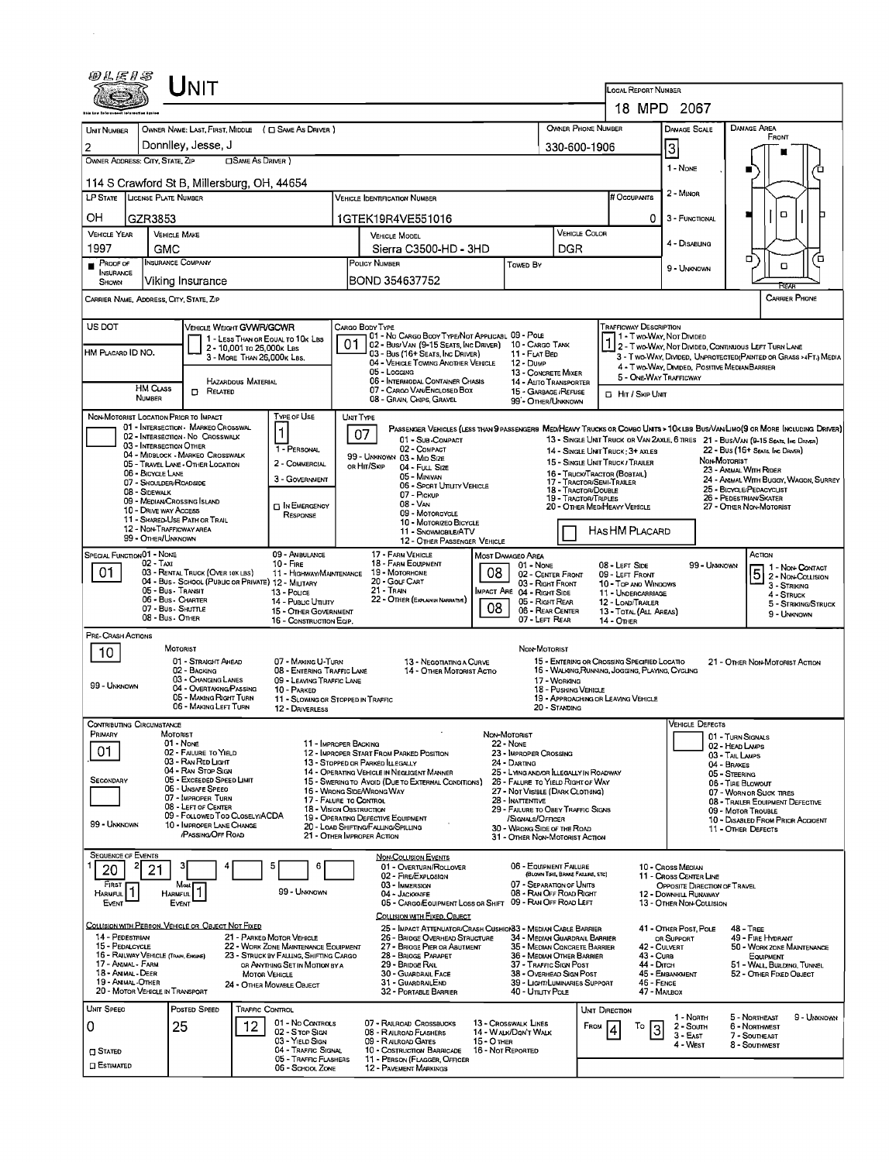| <i>®LE13</i><br><b>NIT</b>                                                                                                                                                                                                               |                                             |                                                                         |                                                         |                                                                                |                           |                                                                                                                              |                                                                                                                                   |                                                                     |                                                                                   |                                                  |                                                                      | LOCAL REPORT NUMBER                                         |                                                                                                                                                                                                                   |  |  |  |  |  |
|------------------------------------------------------------------------------------------------------------------------------------------------------------------------------------------------------------------------------------------|---------------------------------------------|-------------------------------------------------------------------------|---------------------------------------------------------|--------------------------------------------------------------------------------|---------------------------|------------------------------------------------------------------------------------------------------------------------------|-----------------------------------------------------------------------------------------------------------------------------------|---------------------------------------------------------------------|-----------------------------------------------------------------------------------|--------------------------------------------------|----------------------------------------------------------------------|-------------------------------------------------------------|-------------------------------------------------------------------------------------------------------------------------------------------------------------------------------------------------------------------|--|--|--|--|--|
|                                                                                                                                                                                                                                          |                                             |                                                                         |                                                         |                                                                                | 18 MPD 2067               |                                                                                                                              |                                                                                                                                   |                                                                     |                                                                                   |                                                  |                                                                      |                                                             |                                                                                                                                                                                                                   |  |  |  |  |  |
| <b>UNT NUMBER</b>                                                                                                                                                                                                                        |                                             |                                                                         |                                                         | OWNER NAME: LAST, FIRST, MIDDLE ( C SAME AS DRIVER )                           | <b>OWNER PHONE NUMBER</b> |                                                                                                                              | DAMAGE AREA<br>FRONT                                                                                                              |                                                                     |                                                                                   |                                                  |                                                                      |                                                             |                                                                                                                                                                                                                   |  |  |  |  |  |
| 2<br>OWNER ADDRESS: CITY, STATE, ZIP                                                                                                                                                                                                     |                                             | Donnlley, Jesse, J                                                      | <b>CISAME AS DRIVER</b> )                               |                                                                                |                           | 330-600-1906                                                                                                                 |                                                                                                                                   | 3                                                                   |                                                                                   |                                                  |                                                                      |                                                             |                                                                                                                                                                                                                   |  |  |  |  |  |
|                                                                                                                                                                                                                                          |                                             | 114 S Crawford St B, Millersburg, OH, 44654                             |                                                         |                                                                                |                           | 1 - None                                                                                                                     | 'n                                                                                                                                |                                                                     |                                                                                   |                                                  |                                                                      |                                                             |                                                                                                                                                                                                                   |  |  |  |  |  |
| LP STATE LICENSE PLATE NUMBER                                                                                                                                                                                                            |                                             |                                                                         |                                                         |                                                                                | # Occupants               | 2 - Minor                                                                                                                    |                                                                                                                                   |                                                                     |                                                                                   |                                                  |                                                                      |                                                             |                                                                                                                                                                                                                   |  |  |  |  |  |
| OН<br>GZR3853                                                                                                                                                                                                                            |                                             | 1GTEK19R4VE551016                                                       |                                                         |                                                                                |                           | 0                                                                                                                            | 3 - FUNCTIONAL                                                                                                                    | о                                                                   |                                                                                   |                                                  |                                                                      |                                                             |                                                                                                                                                                                                                   |  |  |  |  |  |
| <b>VEHICLE YEAR</b>                                                                                                                                                                                                                      |                                             | <b>VEHICLE MAKE</b>                                                     |                                                         |                                                                                |                           | <b>VEHICLE MODEL</b>                                                                                                         |                                                                                                                                   |                                                                     | VEHICLE COLOR                                                                     |                                                  |                                                                      | 4 - Disabung                                                |                                                                                                                                                                                                                   |  |  |  |  |  |
| 1997<br>PROOF OF                                                                                                                                                                                                                         | GMC                                         | <b>INSURANCE COMPANY</b>                                                |                                                         |                                                                                |                           | Sierra C3500-HD - 3HD<br>POLICY NUMBER                                                                                       |                                                                                                                                   | Towed By                                                            | DGR                                                                               |                                                  |                                                                      |                                                             | α<br>้ต<br>ο                                                                                                                                                                                                      |  |  |  |  |  |
| <b>INSURANCE</b><br><b>SHOWN</b>                                                                                                                                                                                                         |                                             | Viking Insurance                                                        |                                                         |                                                                                |                           | BOND 354637752                                                                                                               |                                                                                                                                   |                                                                     |                                                                                   |                                                  |                                                                      | 9 - UNKNOWN                                                 | <b>REAR</b>                                                                                                                                                                                                       |  |  |  |  |  |
| CARRIER NAME, ADDRESS, CITY, STATE, ZIP                                                                                                                                                                                                  |                                             |                                                                         |                                                         |                                                                                |                           |                                                                                                                              |                                                                                                                                   |                                                                     |                                                                                   |                                                  |                                                                      |                                                             | CARRIER PHONE                                                                                                                                                                                                     |  |  |  |  |  |
| US DOT                                                                                                                                                                                                                                   |                                             | VEHICLE WEIGHT GVWR/GCWR                                                |                                                         |                                                                                |                           | CARGO BODY TYPE<br>01 - No CARGO BODY TYPE/NOT APPLICABL 09 - POLE                                                           |                                                                                                                                   |                                                                     |                                                                                   |                                                  | <b>TRAFFICWAY DESCRIPTION</b>                                        | 1 - Two-Way, Not Divided                                    |                                                                                                                                                                                                                   |  |  |  |  |  |
| HM PLACARD ID NO.                                                                                                                                                                                                                        |                                             |                                                                         | 2 - 10,001 To 26,000K Las<br>3 - MORE THAN 26,000K LBS. | 1 - LESS THAN OR EQUAL TO 10K LBS                                              | 01                        | 02 - Bus/VAN (9-15 SEATS, INC DRIVER) 10 - CARGO TANK<br>03 - Bus (16+ Seats, Inc Driver)                                    |                                                                                                                                   | 11 - FLAT BED                                                       |                                                                                   |                                                  |                                                                      |                                                             | 1 2 - T WO-WAY, NOT DIVIDED, CONTINUOUS LEFT TURN LANE<br>3 - T WO-WAY, DIVIDED, UNPROTECTED (PAINTED OR GRASS >4FT.) MEDIA                                                                                       |  |  |  |  |  |
|                                                                                                                                                                                                                                          |                                             |                                                                         |                                                         |                                                                                |                           | 04 - VEHICLE TOWING ANOTHER VEHICLE<br>05 - Logging                                                                          |                                                                                                                                   | 12 - Dump<br>13 - CONCRETE MIXER                                    |                                                                                   |                                                  | 5 - ONE-WAY TRAFFICWAY                                               | 4 - T WO-WAY, DIMDED, POSITIVE MEDIAN BARRIER               |                                                                                                                                                                                                                   |  |  |  |  |  |
|                                                                                                                                                                                                                                          | HM CLASS<br>NUMBER                          | <b>D</b> RELATED                                                        | <b>HAZARDOUS MATERIAL</b>                               |                                                                                |                           | 06 - INTERMODAL CONTAINER CHASIS<br>07 - CARGO VAN ENGLOSED BOX<br>08 - GRAIN, CHIPS, GRAVEL                                 |                                                                                                                                   | 14 - AUTO TRANSPORTER<br>15 - GARBAGE /REFUSE<br>99 - OTHER/UNKNOWN |                                                                                   |                                                  | <b>D</b> HIT / SKIP UNIT                                             |                                                             |                                                                                                                                                                                                                   |  |  |  |  |  |
|                                                                                                                                                                                                                                          |                                             | NON-MOTORIST LOCATION PRIOR TO IMPACT                                   |                                                         | <b>TYPE OF USE</b>                                                             |                           | UNIT TYPE                                                                                                                    |                                                                                                                                   |                                                                     |                                                                                   |                                                  |                                                                      |                                                             |                                                                                                                                                                                                                   |  |  |  |  |  |
|                                                                                                                                                                                                                                          | 03 - INTERSECTION OTHER                     | 01 - INTERSECTION - MARKEO CROSSWAL<br>02 - INTERSECTION - NO CROSSWALK |                                                         | 1                                                                              |                           | 07<br>01 - Sub-COMPACT                                                                                                       |                                                                                                                                   |                                                                     |                                                                                   |                                                  |                                                                      |                                                             | PASSENGER VEHICLES (LESS THAN 9 PASSENGERS MEDIHEAVY TRUCKS OR COMBO UNTS > 10K LBS BUS/VAN/LIMO(9 OR MORE INCLUDING DRIVER)<br>13 - SINGLE UNIT TRUCK OR VAN 2AXLE, 6 TIRES 21 - BUS/VAN (9-15 SEATS, INC DAMER) |  |  |  |  |  |
|                                                                                                                                                                                                                                          |                                             | 04 - MIDBLOCK - MARKEO CROSSWALK<br>05 - TRAVEL LANE - OTHER LOCATION   |                                                         | 1 - PERSONAL<br>2 - COMMERCIAL                                                 |                           | 02 - COMPACT<br>99 - UNKNOWN 03 - MID SIZE<br>OR HIT/SKIP<br>04 - Full Size                                                  |                                                                                                                                   |                                                                     |                                                                                   |                                                  | 14 - SINGLE UNIT TRUCK: 3+ AXLES<br>15 - SINGLE UNIT TRUCK / TRAILER |                                                             | 22 - Bus (16+ Seats, Ing Driver)<br>NON MOTORIST                                                                                                                                                                  |  |  |  |  |  |
|                                                                                                                                                                                                                                          | 06 - BICYCLE LANE<br>07 - SHOULDER/ROADSIDE |                                                                         |                                                         | 3 - GOVERNMENT                                                                 |                           | 05 - Minivan<br>06 - SPORT UTILITY VEHICLE                                                                                   |                                                                                                                                   |                                                                     | 17 - TRACTOR/SEMI-TRAILER                                                         |                                                  | 16 - TRUCK/TRACTOR (BOBTAIL)                                         |                                                             | 23 - Anamal With Rider<br>24 - ANIMAL WITH BUGGY, WAGON, SURREY<br>25 - BICYCLE/PEDACYCLIST                                                                                                                       |  |  |  |  |  |
|                                                                                                                                                                                                                                          | 08 - Sidewalk                               | 09 - MEDIAN CROSSING ISLAND                                             |                                                         | <b>DIN EMERGENCY</b>                                                           |                           | 07 - Pickup<br>08 - VAN                                                                                                      |                                                                                                                                   | 18 - TRACTOR/DOUBLE<br><b>19 - TRACTOR/TRIPLES</b>                  | 26 - PEDESTRIAN/SKATER<br>20 - OTHER MEDIHEAVY VEHICLE<br>27 - OTHER NON-MOTORIST |                                                  |                                                                      |                                                             |                                                                                                                                                                                                                   |  |  |  |  |  |
|                                                                                                                                                                                                                                          | <b>10 - DRIVE WAY ACCESS</b>                | 11 - SHARED-USE PATH OR TRAIL<br>12 - NON-TRAFFICWAY AREA               |                                                         | RESPONSE                                                                       |                           | 09 - MOTORCYCLE<br>10 - MOTORIZEO BICYCLE                                                                                    |                                                                                                                                   |                                                                     |                                                                                   |                                                  | HAS HM PLACARD                                                       |                                                             |                                                                                                                                                                                                                   |  |  |  |  |  |
|                                                                                                                                                                                                                                          | 99 - OTHER/UNKNOWN                          |                                                                         |                                                         |                                                                                |                           | 11 - SNOWMOBILE/ATV                                                                                                          | 12 - OTHER PASSENGER VEHICLE                                                                                                      |                                                                     |                                                                                   |                                                  |                                                                      |                                                             |                                                                                                                                                                                                                   |  |  |  |  |  |
| SPECIAL FUNCTION 01 - NONE<br>09 - AMBULANCE<br>02 - Taxi<br>$10 -$ Fire<br>01<br>03 - RENTAL TRUCK (OVER 10KLBS)<br>11 - HIGHWAY/MAINTENANCE<br>04 - Bus - School (Public or Private) 12 - MILITARY<br>05 - Bus - Transit<br>13 - Pouce |                                             |                                                                         |                                                         |                                                                                |                           | 17 - FARM VEHICLE<br>18 - FARM EQUIPMENT<br>19 - Мотокноме                                                                   | 08                                                                                                                                | MOST DAMAGEO AREA<br>$01 - None$<br>02 - CENTER FRONT               |                                                                                   |                                                  | 08 - LEFT SIDE<br>09 - LEFT FRONT                                    | 99 - UNKNOWN                                                | Астюм<br>$\boxed{5}$ $\frac{1 - \text{Non-Conrac}}{2 - \text{Non-Conrac}}$                                                                                                                                        |  |  |  |  |  |
|                                                                                                                                                                                                                                          |                                             |                                                                         |                                                         |                                                                                |                           | 20 - Golf Cart<br>21 - Tran                                                                                                  | 03 - RIGHT FRONT<br>IMPACT ARE 04 - RIGHT SIDE                                                                                    |                                                                     |                                                                                   | 10 - Top and Windows<br>11 - UNDERCARRIAGE       | 3 - STRIKING<br>4 - STRUCK                                           |                                                             |                                                                                                                                                                                                                   |  |  |  |  |  |
|                                                                                                                                                                                                                                          | 08 - Bus - OTHER                            | 06 - Bus Charter<br>07 - Bus - SHUTTLE                                  |                                                         | 14 - Pusuc Unury<br>15 - OTHER GOVERNMENT                                      |                           | 22 - OTHER (EXPLAN IN NARRATIVE)                                                                                             | 08                                                                                                                                | 05 - Right Rear<br>06 - REAR CENTER                                 |                                                                                   |                                                  | 12 - LOAD/TRAILER<br>13 - TOTAL (ALL AREAS)                          |                                                             | 5 - STRIKING/STRUCK<br>9 - UNKNOWN                                                                                                                                                                                |  |  |  |  |  |
| PRE-CRASH ACTIONS                                                                                                                                                                                                                        |                                             |                                                                         |                                                         | 16 - CONSTRUCTION EQIP.                                                        |                           |                                                                                                                              |                                                                                                                                   | 07 - LEFT REAR                                                      |                                                                                   |                                                  | <b>14 - OTHER</b>                                                    |                                                             |                                                                                                                                                                                                                   |  |  |  |  |  |
| 10                                                                                                                                                                                                                                       |                                             | MOTORIST<br>01 - STRAIGHT AHEAD                                         |                                                         | 07 - MAKING U-TURN                                                             |                           | 13 - NEGOTIATING A CURVE                                                                                                     |                                                                                                                                   | NON-MOTORIST                                                        |                                                                                   |                                                  | 15 - ENTERING OR CROSSING SPECIFIED LOCATIO                          |                                                             | 21 - OTHER NON-MOTORIST ACTION                                                                                                                                                                                    |  |  |  |  |  |
|                                                                                                                                                                                                                                          |                                             | 02 - Backing<br>03 - CHANGING LANES                                     |                                                         | 08 - ENTERING TRAFFIC LANE<br>09 - LEAVING TRAFFIC LANE                        |                           | 14 - Отнея Мотокіѕт Астю                                                                                                     |                                                                                                                                   | 17 - WORKING                                                        |                                                                                   | 16 - WALKING, RUNNING, JOGGING, PLAYING, CYCLING |                                                                      |                                                             |                                                                                                                                                                                                                   |  |  |  |  |  |
| 99 - UNKNOWN                                                                                                                                                                                                                             |                                             | 04 - Overtaking/Passing<br>05 - MAKING RIGHT TURN                       |                                                         | 10 - PARKED<br>11 - Slowing or Stopped in Traffic                              |                           |                                                                                                                              |                                                                                                                                   | 18 - PUSHING VEHICLE                                                |                                                                                   | 19 - APPROACHING OR LEAVING VEHICLE              |                                                                      |                                                             |                                                                                                                                                                                                                   |  |  |  |  |  |
| CONTRIBUTING CIRCUMSTANCE                                                                                                                                                                                                                |                                             | 06 - MAKING LEFT TURN                                                   |                                                         | 12 - DRIVERLESS                                                                |                           |                                                                                                                              |                                                                                                                                   |                                                                     | 20 - STANDING                                                                     |                                                  |                                                                      | <b>VEHICLE DEFECTS</b>                                      |                                                                                                                                                                                                                   |  |  |  |  |  |
| PRIMARY                                                                                                                                                                                                                                  |                                             | MOTORIST<br>$01 - None$                                                 |                                                         | 11 - IMPROPER BACKING                                                          |                           |                                                                                                                              |                                                                                                                                   | Non-Motorist<br>01 - TURN SIGNALS<br>22 - None<br>02 - HEAD LAMPS   |                                                                                   |                                                  |                                                                      |                                                             |                                                                                                                                                                                                                   |  |  |  |  |  |
| 01                                                                                                                                                                                                                                       |                                             | 02 - FALURE TO YIELD<br>03 - RAN RED LIGHT                              |                                                         |                                                                                |                           | 12 - IMPROPER START FROM PARKED POSITION<br>13 - STOPPED OR PARKED LLEGALLY                                                  | 23 - IMPROPER CROSSING<br>24 - DARTING                                                                                            |                                                                     |                                                                                   | 03 - TAIL LAMPS<br>04 - BRAKES                   |                                                                      |                                                             |                                                                                                                                                                                                                   |  |  |  |  |  |
| SECONDARY                                                                                                                                                                                                                                |                                             | 04 - RAN STOP SIGN<br>05 - Exceeded Speed LIMIT<br>06 - UNSAFE SPEEO    |                                                         |                                                                                |                           | 14 - OPERATING VEHICLE IN NEGLIGENT MANNER                                                                                   | 25 - LYING AND/OR ILLEGALLY IN ROADWAY<br>15 - SWERING TO AVOID (DUE TO EXTERNAL CONDITIONS)<br>26 - FALURE TO YIELD RIGHT OF WAY |                                                                     |                                                                                   |                                                  |                                                                      |                                                             | 05 - STEERING<br>06 - TIRE BLOWOUT                                                                                                                                                                                |  |  |  |  |  |
|                                                                                                                                                                                                                                          |                                             | 07 - IMPROPER TURN<br>08 - LEFT OF CENTER                               |                                                         |                                                                                |                           | 16 - WRONG SIDE/WRONG WAY<br>17 - FALURE TO CONTROL<br>18 - VISION OBSTRUCTION                                               | 27 - NOT VISIBLE (DARK CLOTHING)<br>28 - Inattentive<br>29 - FAILURE TO OBEY TRAFFIC SIGNS                                        |                                                                     |                                                                                   |                                                  |                                                                      | 07 - WORN OR SUCK TIRES<br>08 - TRAILER EQUIPMENT DEFECTIVE |                                                                                                                                                                                                                   |  |  |  |  |  |
| 99 - UNKNOWN                                                                                                                                                                                                                             |                                             | 09 - FOLLOWED TOO CLOSELY/ACDA<br>10 - IMPROPER LANE CHANGE             |                                                         |                                                                                |                           | 19 - OPERATING DEFECTIVE EQUIPMENT<br>/SIGNALS/OFFICER<br>20 - LOAD SHIFTING/FALLING/SPILLING<br>30 - WRONG SIDE OF THE ROAD |                                                                                                                                   |                                                                     |                                                                                   |                                                  |                                                                      |                                                             | 09 - MOTOR TROUBLE<br>10 - DISABLED FROM PRIOR ACCIDENT<br>11 - OTHER DEFECTS                                                                                                                                     |  |  |  |  |  |
|                                                                                                                                                                                                                                          |                                             | <b>PASSING OFF ROAD</b>                                                 |                                                         |                                                                                |                           | 21 - OTHER IMPROPER ACTION                                                                                                   |                                                                                                                                   | 31 - OTHER NON-MOTORIST ACTION                                      |                                                                                   |                                                  |                                                                      |                                                             |                                                                                                                                                                                                                   |  |  |  |  |  |
| <b>SEQUENCE OF EVENTS</b><br>20                                                                                                                                                                                                          | 21                                          |                                                                         |                                                         | 5<br>6                                                                         |                           | <b>NON-COLLISION EVENTS</b><br>01 - Overturn/Rollover<br>02 - FIRE/EXPLOSION                                                 |                                                                                                                                   | 06 - EQUIPMENT FAILURE                                              | (BLOWN TIRE, BRAKE FAILURE, ETC)                                                  |                                                  |                                                                      | 10 - Cross Median<br>11 - Cross CENTER LINE                 |                                                                                                                                                                                                                   |  |  |  |  |  |
| FIRST<br>HARMFUL                                                                                                                                                                                                                         |                                             | Most<br><b>HARMFUL</b>                                                  |                                                         | 99 - UNKNOWN                                                                   |                           | 03 - IMMERSION<br>04 - JACKKNIFE                                                                                             |                                                                                                                                   | 07 - SEPARATION OF UNITS<br>08 - RAN OFF ROAD RIGHT                 |                                                                                   |                                                  |                                                                      | OPPOSITE DIRECTION OF TRAVEL<br>12 - DOWNHILL RUNAWAY       |                                                                                                                                                                                                                   |  |  |  |  |  |
| EVENT                                                                                                                                                                                                                                    |                                             | EVENT                                                                   |                                                         |                                                                                |                           | 05 - CARGO/EQUIPMENT LOSS OR SHIFT 09 - RAN OFF ROAD LEFT<br>COLLISION WITH FIXED, OBJECT                                    |                                                                                                                                   |                                                                     |                                                                                   |                                                  |                                                                      | 13 - OTHER NON-COLLISION                                    |                                                                                                                                                                                                                   |  |  |  |  |  |
| 14 - PEDESTRIAN                                                                                                                                                                                                                          |                                             | COLLISION WITH PERSON, VEHICLE OR OBJECT NOT FIXED                      |                                                         | 21 - PARKED MOTOR VEHICLE                                                      |                           | 25 - IMPACT ATTENUATOR/CRASH CUSHION33 - MEDIAN CABLE BARRIER<br>26 - BRIDGE OVERHEAD STRUCTURE                              |                                                                                                                                   | 34 - MEDIAN GUARDRAIL BARRIER                                       |                                                                                   |                                                  |                                                                      | 41 - OTHER POST, POLE<br>OR SUPPORT                         | <b>48 - TREE</b><br>49 - FIRE HYDRANT                                                                                                                                                                             |  |  |  |  |  |
| 15 - PEDALCYCLE<br>16 - RAILWAY VEHICLE (TRAIN, ENGINE)                                                                                                                                                                                  |                                             |                                                                         |                                                         | 22 - WORK ZONE MAINTENANCE EQUIPMENT<br>23 - STRUCK BY FALLING, SHIFTING CARGO |                           | 27 - BRIOGE PIER OR ABUTMENT<br>28 - BRIOGE PARAPET                                                                          | 35 - MEDIAN CONCRETE BARRIER<br>36 - MEDIAN OTHER BARRIER                                                                         |                                                                     |                                                                                   | 43 - Curs                                        | 42 - CULVERT                                                         | 50 - WORK ZONE MAINTENANCE<br>EQUIPMENT                     |                                                                                                                                                                                                                   |  |  |  |  |  |
| 17 - Animal - Farm<br>18 - ANIMAL - DEER<br>19 - ANIMAL -OTHER                                                                                                                                                                           |                                             |                                                                         | <b>MOTOR VEHICLE</b>                                    | OR ANYTHING SET IN MOTION BY A                                                 |                           | 29 - Bridge Rail<br>30 - GUARDRAIL FACE<br>31 - GUARDRALEND                                                                  | 37 - TRAFFIC SIGN POST<br>38 - Overhead Sign Post<br>39 - LIGHT/LUMINARIES SUPPORT                                                |                                                                     |                                                                                   | 44 DITCH<br>46 - FENCE                           | 45 - EMBANKMENT                                                      | 51 - WALL BUILDING, TUNNEL<br>52 - OTHER FIXED OBJECT       |                                                                                                                                                                                                                   |  |  |  |  |  |
| 20 - MOTOR VEHICLE IN TRANSPORT                                                                                                                                                                                                          |                                             |                                                                         |                                                         | 24 - Отнея Моулвце Овлест                                                      |                           | 32 - PORTABLE BARRIER                                                                                                        |                                                                                                                                   | 40 - UTILITY POLE                                                   |                                                                                   |                                                  | 47 - Машох                                                           |                                                             |                                                                                                                                                                                                                   |  |  |  |  |  |
| <b>UNIT SPEED</b>                                                                                                                                                                                                                        |                                             | POSTED SPEED                                                            | TRAFFIC CONTROL                                         | 01 - No CONTROLS                                                               |                           | 07 - RAILROAD CROSSBUCKS                                                                                                     |                                                                                                                                   | 13 - Crosswalk LINES                                                |                                                                                   | UNIT DIRECTION                                   |                                                                      | 1 - Noath                                                   | 5 - NORTHEAST<br>9 - UNKNOWN                                                                                                                                                                                      |  |  |  |  |  |
| 0                                                                                                                                                                                                                                        |                                             | 25                                                                      | 12                                                      | 02 - S TOP SIGN<br>03 - YIELD SIGN                                             |                           | 08 - RAILROAD FLASHERS<br>09 - RALROAD GATES                                                                                 | 15 - Отнев                                                                                                                        | 14 - WALK/DON'T WALK                                                |                                                                                   | From                                             | To<br>3<br>4                                                         | 2 - South<br>$3 - EAST$<br>4 - West                         | 6 - Northwest<br>7 - SOUTHEAST<br>8 - SOUTHWEST                                                                                                                                                                   |  |  |  |  |  |
| <b>O</b> STATED<br><b>CI ESTIMATED</b>                                                                                                                                                                                                   |                                             |                                                                         |                                                         | 04 - Traffic Signal<br>05 - TRAFFIC FLASHERS<br>06 - SCHOOL ZONE               |                           | 10 - Costruction Barricade<br>11 - PERSON (FLAGGER, OFFICER<br><b>12 - PAVEMENT MARKINGS</b>                                 |                                                                                                                                   | 16 - Not Reported                                                   |                                                                                   |                                                  |                                                                      |                                                             |                                                                                                                                                                                                                   |  |  |  |  |  |
|                                                                                                                                                                                                                                          |                                             |                                                                         |                                                         |                                                                                |                           |                                                                                                                              |                                                                                                                                   |                                                                     |                                                                                   |                                                  |                                                                      |                                                             |                                                                                                                                                                                                                   |  |  |  |  |  |

 $\mathcal{O}(\mathcal{O}_\mathcal{O})$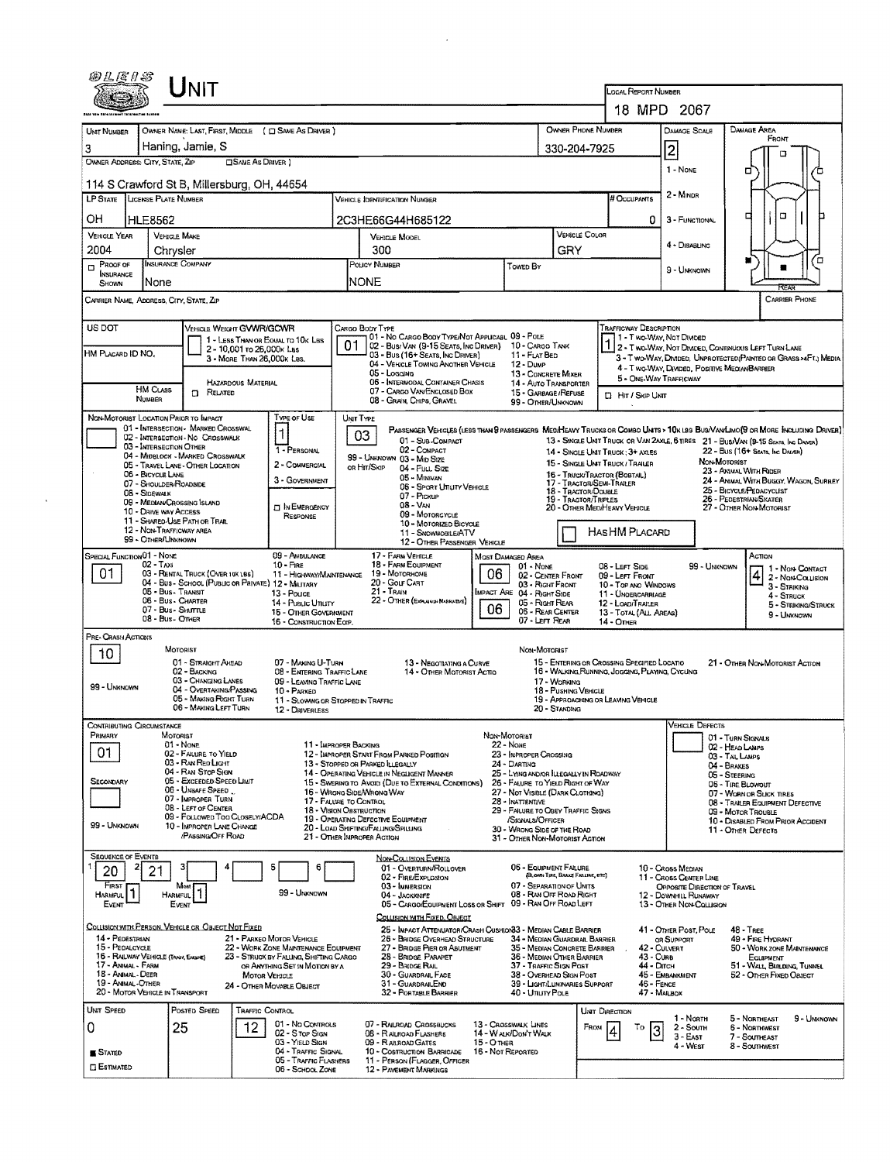| 80 L E 1 S                              |                                                | LINIT                                                                        |                                                         |                                                                          |                                                                                                                                                |                                                                                                          |                                                      |                                                                                                        |                                                              | LOCAL REPORT NUMBER                                                                                                      |                                                                                                |                                                                                                                               |  |  |  |
|-----------------------------------------|------------------------------------------------|------------------------------------------------------------------------------|---------------------------------------------------------|--------------------------------------------------------------------------|------------------------------------------------------------------------------------------------------------------------------------------------|----------------------------------------------------------------------------------------------------------|------------------------------------------------------|--------------------------------------------------------------------------------------------------------|--------------------------------------------------------------|--------------------------------------------------------------------------------------------------------------------------|------------------------------------------------------------------------------------------------|-------------------------------------------------------------------------------------------------------------------------------|--|--|--|
|                                         |                                                |                                                                              |                                                         |                                                                          |                                                                                                                                                |                                                                                                          |                                                      |                                                                                                        |                                                              |                                                                                                                          | 18 MPD 2067                                                                                    |                                                                                                                               |  |  |  |
|                                         |                                                |                                                                              |                                                         |                                                                          |                                                                                                                                                |                                                                                                          |                                                      |                                                                                                        |                                                              |                                                                                                                          |                                                                                                |                                                                                                                               |  |  |  |
| UNT NUMBER                              |                                                |                                                                              |                                                         | OWNER NAME: LAST, FIRST, MIDDLE ( C) SAME AS DRIVER )                    |                                                                                                                                                |                                                                                                          |                                                      |                                                                                                        | OWNER PHONE NUMBER                                           |                                                                                                                          | <b>DAMAGE SCALE</b>                                                                            | DAMAGE AREA<br>From                                                                                                           |  |  |  |
| 3<br>OWNER ADDRESS: CITY, STATE, ZIP    |                                                | Haning, Jamie, S                                                             | <b>CISANE AS DRIVER 1</b>                               |                                                                          |                                                                                                                                                |                                                                                                          |                                                      |                                                                                                        | 330-204-7925                                                 |                                                                                                                          | $\overline{2}$                                                                                 | m                                                                                                                             |  |  |  |
|                                         |                                                |                                                                              |                                                         |                                                                          |                                                                                                                                                |                                                                                                          |                                                      |                                                                                                        |                                                              |                                                                                                                          | 1 - None                                                                                       | o                                                                                                                             |  |  |  |
|                                         |                                                | 114 S Crawford St B, Millersburg, OH, 44654                                  |                                                         |                                                                          |                                                                                                                                                |                                                                                                          |                                                      |                                                                                                        |                                                              |                                                                                                                          | 2 - MINDR                                                                                      |                                                                                                                               |  |  |  |
| <b>LP STATE</b>                         | LICENSE PLATE NUMBER                           |                                                                              |                                                         |                                                                          |                                                                                                                                                | <b>VEHICLE IDENTIFICATION NUMBER</b>                                                                     |                                                      |                                                                                                        |                                                              | # Occupants                                                                                                              |                                                                                                |                                                                                                                               |  |  |  |
| ΟH                                      | <b>HLE8562</b>                                 |                                                                              |                                                         |                                                                          |                                                                                                                                                | 2C3HE66G44H685122                                                                                        |                                                      |                                                                                                        |                                                              |                                                                                                                          | 0<br>3 - FUNCTIONAL                                                                            | O<br>□                                                                                                                        |  |  |  |
| <b>VEHICLE YEAR</b>                     |                                                | <b>VEHICLE MAKE</b>                                                          |                                                         |                                                                          |                                                                                                                                                | VEHICLE MODEL                                                                                            |                                                      |                                                                                                        | VEHICLE COLOR                                                |                                                                                                                          | 4 - DISABLING                                                                                  |                                                                                                                               |  |  |  |
| 2004<br>$P$ ROOF OF                     |                                                | Chrysler<br>INSURANCE COMPANY                                                |                                                         |                                                                          |                                                                                                                                                | 300<br>POLICY NUMBER                                                                                     |                                                      |                                                                                                        | GRY                                                          |                                                                                                                          |                                                                                                |                                                                                                                               |  |  |  |
| <b>NSURANCE</b>                         |                                                |                                                                              |                                                         |                                                                          |                                                                                                                                                |                                                                                                          |                                                      | TOWED BY                                                                                               |                                                              |                                                                                                                          | 9 - UNKNOWN                                                                                    |                                                                                                                               |  |  |  |
| SHOWN                                   | None                                           |                                                                              |                                                         |                                                                          |                                                                                                                                                | <b>INONE</b>                                                                                             |                                                      |                                                                                                        |                                                              |                                                                                                                          |                                                                                                |                                                                                                                               |  |  |  |
|                                         |                                                | CARRIER NAME, ADDRESS, CITY, STATE, ZIP                                      |                                                         |                                                                          |                                                                                                                                                |                                                                                                          |                                                      |                                                                                                        |                                                              |                                                                                                                          |                                                                                                | <b>CARRIER PHONE</b>                                                                                                          |  |  |  |
| US DOT                                  |                                                | VEHICLE WEIGHT GVWR/GCWR                                                     |                                                         |                                                                          |                                                                                                                                                | Cargo Body Type                                                                                          |                                                      |                                                                                                        |                                                              | TRAFFICWAY DESCRIPTION                                                                                                   |                                                                                                |                                                                                                                               |  |  |  |
|                                         |                                                |                                                                              |                                                         | 1 - LESS THAN OR EQUAL TO 10K LBS                                        |                                                                                                                                                | 01 - No CARGO BODY TYPE/NOT APPLICABL 09 - POLE<br>02 - Bus/VAN (9-15 SEATS, INC DRIVER) 10 - CARGO TANK |                                                      |                                                                                                        |                                                              |                                                                                                                          | 1 - Two-Way, Not Divided                                                                       | 1 2- T WO-WAY, NOT DIVIDED, CONTINUOUS LEFT TURN LANE                                                                         |  |  |  |
| HM PLACARD ID NO.                       |                                                |                                                                              | 2 - 10,001 to 26,000k Las<br>3 - MORE THAN 26,000K LBS. |                                                                          |                                                                                                                                                | 03 - Bus (16+ Seats, Inc DRIVER)<br>04 - VEHICLE TOWING ANOTHER VEHICLE                                  |                                                      | 11 - FLAT BED<br>12 - Duup                                                                             |                                                              |                                                                                                                          |                                                                                                | 3 - T WO-WAY, DIMDED, UNPROTECTED (PAINTED OR GRASS > 4FT.) MEDIA                                                             |  |  |  |
|                                         |                                                |                                                                              |                                                         |                                                                          |                                                                                                                                                | 05 - Logging                                                                                             |                                                      | 13 - CONCRETE MIXER                                                                                    |                                                              |                                                                                                                          | 4 - T WO-WAY, DIVIDED, POSITIVE MEDIANBARRIER<br>5 - ONE-WAY TRAFFICWAY                        |                                                                                                                               |  |  |  |
|                                         | <b>HM CLASS</b><br><b>NUMBER</b>               | $\Box$ Related                                                               | <b>HAZARDOUS MATERIAL</b>                               |                                                                          |                                                                                                                                                | 06 - INTERMODAL CONTAINER CHASIS<br>07 - CARGO VAN ENCLOSED BOX                                          |                                                      | 14 - AUTO TRANSPORTER<br>15 - GARBAGE /REFUSE                                                          |                                                              | <b>D</b> Hir / Skip UNIT                                                                                                 |                                                                                                |                                                                                                                               |  |  |  |
|                                         |                                                |                                                                              |                                                         |                                                                          |                                                                                                                                                | 08 - GRAIN, CHIPS, GRAVEL                                                                                |                                                      | 99 - OTHER/UNKNOWN                                                                                     |                                                              |                                                                                                                          |                                                                                                |                                                                                                                               |  |  |  |
|                                         |                                                | NON-MOTORIST LOCATION PRIOR TO IMPACT<br>01 - INTERSECTION - MARKED CROSSWAL |                                                         | TYPE OF USE                                                              |                                                                                                                                                | UNIT TYPE                                                                                                |                                                      |                                                                                                        |                                                              |                                                                                                                          |                                                                                                | PASSENGER VEHICLES (LESS THAN 8 PASSENGERS MEDIHEAVY TRUCKS OR COMBO UNITS > 10K LBS BUS/VAN/LIMO(9 OR MORE INCLUDING DRIVER) |  |  |  |
|                                         | 03 - INTERSECTION OTHER                        | 02 - INTERSECTION - NO CROSSWALK                                             |                                                         | 1                                                                        |                                                                                                                                                | 03<br>01 - SUB-COMPACT                                                                                   |                                                      |                                                                                                        |                                                              |                                                                                                                          |                                                                                                | 13 - SINGLE UNIT TRUCK OR VAN 2AXLE, 6 TIRES 21 - BUS/VAN (9-15 SEATS, INC DANER)                                             |  |  |  |
|                                         |                                                | 04 - Midri ock - Marked Crosswalk                                            |                                                         | 1 - PERSONAL<br>2 - COMMERCIAL                                           |                                                                                                                                                | 02 - COMPACT<br>99 - UNKNOWN 03 - MID SIZE                                                               |                                                      |                                                                                                        |                                                              | 22 - Bus (16+ Seats, Inc Draver)<br>14 - SINGLE UNIT TRUCK: 3+ AXLES<br>NON-MOTORIST<br>15 - SINGLE UNIT TRUCK / TRAILER |                                                                                                |                                                                                                                               |  |  |  |
|                                         | 06 - BICYCLE LANE                              | 05 - TRAVEL LANE - OTHER LOCATION                                            |                                                         | 3 - GOVERNMENT                                                           |                                                                                                                                                | ов Ніт/Sкір<br>04 - FULL SIZE<br>05 - Mingvan                                                            |                                                      |                                                                                                        |                                                              | 16 - Truck/Tractor (BOBTAL)                                                                                              |                                                                                                | 23 - ANIMAL WITH RIDER<br>24 - ANMAL WITH BUGGY, WAGON, SURREY                                                                |  |  |  |
|                                         | 07 - SHOULDER/ROADSIDE<br>08 - Sidewalk        |                                                                              |                                                         |                                                                          |                                                                                                                                                | 06 - SPORT UTIUTY VEHICLE<br>07 - Prokup                                                                 |                                                      | 17 - TRACTOR/SEMI-TRAILER<br>25 - BICYCLE/PEDACYCLIST<br>18 - TRACTOR/DOUBLE<br>26 - PEDESTRIAN SKATER |                                                              |                                                                                                                          |                                                                                                |                                                                                                                               |  |  |  |
|                                         | 10 - DRIVE WAY ACCESS                          | 09 - MEDIAN/CROSSING ISLAND                                                  |                                                         | <b>D</b> IN EMERGENCY                                                    |                                                                                                                                                | $08 - VAN$                                                                                               | 19 - Tractor/Triples<br>20 - OTHER MEDIHEAVY VEHICLE |                                                                                                        | 27 - OTHER NON-MOTORIST                                      |                                                                                                                          |                                                                                                |                                                                                                                               |  |  |  |
|                                         |                                                | 11 - SHARED-USE PATH OR TRAIL                                                |                                                         | <b>RESPONSE</b>                                                          |                                                                                                                                                | 09 - MOTORCYCLE<br>10 - Motorized Bicycle                                                                |                                                      |                                                                                                        |                                                              |                                                                                                                          |                                                                                                |                                                                                                                               |  |  |  |
|                                         | 12 - Non-Trafficway area<br>99 - OTHER/UNKNOWN |                                                                              |                                                         |                                                                          |                                                                                                                                                | 11 - SNOWMOBILE/ATV<br>12 - OTHER PASSENGER VEHICLE                                                      |                                                      |                                                                                                        |                                                              | HASHM PLACARD                                                                                                            |                                                                                                |                                                                                                                               |  |  |  |
| SPECIAL FUNCTION 01 - NONE              |                                                |                                                                              |                                                         | 09 - AMBULANCE                                                           |                                                                                                                                                | 17 - FARM VEHICLE                                                                                        |                                                      | MOST DAMAGED AREA                                                                                      |                                                              |                                                                                                                          |                                                                                                | ACTION                                                                                                                        |  |  |  |
| 01                                      | 02 - TAXI                                      | 03 - RENTAL TRUCK (OVER 10K LBS)                                             |                                                         | $10 - F$ IRE<br>11 - HIGHWAY/MAINTENANCE                                 |                                                                                                                                                | 18 - FARM EQUIPMENT<br>19 - Мотовноме                                                                    | 06                                                   | 01 - None<br>02 - CENTER FRONT                                                                         |                                                              | 08 - LEFT SIDE<br>09 - LEFT FRONT                                                                                        | 99 - UNKNOWN                                                                                   | 1 - Non-Contact<br>2 - Non-Counsion                                                                                           |  |  |  |
|                                         |                                                | 04 - Bus - SCHOOL (PUBLIC OR PRIVATE) 12 - MILITARY<br>05 - Bus - Transit    |                                                         | 13 - Pouce                                                               |                                                                                                                                                | 20 - Golf Cart<br>21 - Train                                                                             |                                                      | 03 - Right Front<br>MPACT ARE 04 - RIGHT SIDE                                                          |                                                              | 10 - Top and Windows<br>11 - UNDERCARRIAGE                                                                               |                                                                                                | 3 - STRIKING                                                                                                                  |  |  |  |
|                                         |                                                | 06 - Bus - CHARTER<br>07 - Bus - Shuttle                                     |                                                         | 14 - Pusuc Unury                                                         |                                                                                                                                                | 22 - OTHER (EXPLAIN IN MARAIRME)                                                                         | 06                                                   | 05 - Right Rear<br>06 - REAR CENTER                                                                    |                                                              | 12 - LOAD/TRAILER                                                                                                        |                                                                                                | 4 - STRUCK<br>5 - STRIKING/STRUCK                                                                                             |  |  |  |
|                                         |                                                | 08 - Bus - Other                                                             |                                                         | 15 - OTHER GOVERNMENT<br>16 - CONSTRUCTION EOIP.                         |                                                                                                                                                |                                                                                                          |                                                      | 07 - LEFT REAR                                                                                         |                                                              | 13 - TOTAL (ALL AREAS)<br>14 - Onen                                                                                      |                                                                                                | 9 - UMKNOWN                                                                                                                   |  |  |  |
| PRE- CRASH ACTIONS                      |                                                |                                                                              |                                                         |                                                                          |                                                                                                                                                |                                                                                                          |                                                      |                                                                                                        |                                                              |                                                                                                                          |                                                                                                |                                                                                                                               |  |  |  |
| 10                                      |                                                | MOTORIST                                                                     |                                                         |                                                                          |                                                                                                                                                |                                                                                                          |                                                      | Non-Motorust                                                                                           |                                                              |                                                                                                                          |                                                                                                | 21 - OTHER NON-MOTORIST ACTION                                                                                                |  |  |  |
|                                         |                                                | 01 - STRAIGHT AHEAD<br>02 - BACKING                                          |                                                         |                                                                          | 07 - MAKING U-TURN<br>13 - NEGOTIATING A CURVE<br>08 - EMTERING TRAFFIC LANE<br>14 - OTHER MOTORIST ACTIO                                      |                                                                                                          |                                                      |                                                                                                        |                                                              |                                                                                                                          | 15 - ENTERING OR CROSSING SPECIFIED LOCATIO<br>16 - WALKING RUNNING, JOGGING, PLAYING, CYCLING |                                                                                                                               |  |  |  |
| 99 - UNKNOWN                            |                                                | 03 - CHANGING LANES<br>04 - OVERTAKING/PASSING                               |                                                         | 09 - LEAVING TRAFFIC LANE<br>$10 - PARKED$                               |                                                                                                                                                |                                                                                                          |                                                      |                                                                                                        | 17 - Working<br>18 - PUSHING VEHICLE                         |                                                                                                                          |                                                                                                |                                                                                                                               |  |  |  |
|                                         |                                                | 05 - MAKING RIGHT TURN<br>06 - MAKING LEFT TURN                              |                                                         | 11 - SLOWING OR STOPPED IN TRAFFIC<br>12 - DRIVERLESS                    |                                                                                                                                                |                                                                                                          |                                                      |                                                                                                        | 20 - Standing                                                | 19 - APPROACHING OR LEAVING VEHICLE                                                                                      |                                                                                                |                                                                                                                               |  |  |  |
| Contributing Circumstance               |                                                |                                                                              |                                                         |                                                                          |                                                                                                                                                |                                                                                                          |                                                      |                                                                                                        |                                                              |                                                                                                                          | Vehicle Defects                                                                                |                                                                                                                               |  |  |  |
| PRIMARY                                 |                                                | MOTORIST                                                                     |                                                         |                                                                          |                                                                                                                                                |                                                                                                          |                                                      | NON-MOTORIET                                                                                           |                                                              |                                                                                                                          |                                                                                                | 01 - TURN SIGNALS                                                                                                             |  |  |  |
| 01.                                     |                                                | 01 - Nove<br>02 - FAILURE TO YIELD                                           |                                                         | 11 - IMPROPER BACKING                                                    |                                                                                                                                                | 12 - IMPROPER START FROM PARKED POSITION                                                                 |                                                      | 22 - NONE<br>23 - IMPROPER CROSSING                                                                    |                                                              |                                                                                                                          |                                                                                                | 02 - HEAD LAMPS<br>03 - TAIL LAMPS                                                                                            |  |  |  |
|                                         |                                                | 03 - RAN REO LIGHT<br>04 - RAN STOP SIGN                                     |                                                         |                                                                          |                                                                                                                                                | 13 - Stopped or Parked LLEGALLY<br>14 - OPERATING VEHICLE IN NEGLIGENT MANNER                            |                                                      | 24 - DARTING                                                                                           | 25 - LYING AND/OR ILLEGALLY IN ROADWAY                       |                                                                                                                          |                                                                                                | 04 - BRAKES<br>05 - STEERING                                                                                                  |  |  |  |
| SECONDARY                               |                                                | 05 - Exceepen Speen Limit<br>06 - UNSAFE SPEED                               |                                                         |                                                                          |                                                                                                                                                | 15 - Swering to Avoid (Due to External Conditions)<br>16 - WRONG SIDE/WRONG WAY                          | 26 - FALURE TO YIELD RIGHT OF WAY                    |                                                                                                        | 06 - TIRE BLOWOUT                                            |                                                                                                                          |                                                                                                |                                                                                                                               |  |  |  |
|                                         |                                                | 07 - IMPROPER TURN<br>08 - LEFT OF CENTER                                    |                                                         |                                                                          | 27 - NOT VISIBLE (DARK CLOTHING)<br>17 - FALURE TO CONTROL<br>28 - INATTENTIVE<br>18 - Vision Ossmuction<br>29 - FAILURE TO OBEY TRAFFIC SIGNS |                                                                                                          |                                                      |                                                                                                        |                                                              |                                                                                                                          |                                                                                                | 07 - WORN OR SLICK TIRES<br>08 - TRAILER EQUIPMENT DEFECTIVE                                                                  |  |  |  |
|                                         |                                                | 09 - Followed Too Closelv/ACDA                                               |                                                         |                                                                          |                                                                                                                                                | 19 - OPERATING DEFECTIVE EQUIPMENT                                                                       |                                                      | /SIGNALS/OFFICER                                                                                       |                                                              |                                                                                                                          |                                                                                                | 09 - MOTOR TROUBLE<br>10 - DISABLED FROM PRIOR ACCIDENT                                                                       |  |  |  |
| 99 - UNKNOWN                            |                                                | 10 - IMPROPER LANE CHANGE<br>/PASSING/OFF ROAD                               |                                                         |                                                                          |                                                                                                                                                | 20 - LOAD SHIFTING/FALLING/SPILLING<br>21 - OTHER IMPROPER ACTION                                        |                                                      | 30 - WRONG SIDE OF THE ROAD                                                                            | 31 - OTHER NON-MOTORIST ACTION                               |                                                                                                                          |                                                                                                | 11 - OTHER DEFECTS                                                                                                            |  |  |  |
| SEQUENCE OF EVENTS                      |                                                |                                                                              |                                                         |                                                                          |                                                                                                                                                |                                                                                                          |                                                      |                                                                                                        |                                                              |                                                                                                                          |                                                                                                |                                                                                                                               |  |  |  |
| 20                                      | 21                                             |                                                                              |                                                         | 6<br>5                                                                   |                                                                                                                                                | NON-COLLISION EVENTS<br>01 - OVERTURN/ROLLOVER                                                           |                                                      | 06 - EQUIPMENT FAILURE                                                                                 |                                                              |                                                                                                                          | 10 - Cross Median                                                                              |                                                                                                                               |  |  |  |
| FIRST                                   |                                                | Most F                                                                       |                                                         |                                                                          |                                                                                                                                                | 02 - FIRE/EXPLOSION<br>03 - IMMERSION                                                                    |                                                      | 07 - SEPARATION OF UNITS                                                                               | (BLOWN TIRE, BRAKE FAILINE, ETC)                             |                                                                                                                          | 11 - Cross Center Line<br>OPPOSITE DIRECTION OF TRAVEL                                         |                                                                                                                               |  |  |  |
| Harmful  <br>Event                      |                                                | HARMFUL <sup>1</sup> 1<br>EVENT                                              |                                                         | 99 - Unixnown                                                            |                                                                                                                                                | $04 -$ Jackknife<br>05 - CARGO/EQUIPMENT LOSS OR SHIFT 09 - RAN OFF ROAD LEFT                            |                                                      | 08 - RAN OFF ROAD RIGHT                                                                                |                                                              |                                                                                                                          | 12 - DOWNHILL RUNAWAY<br>13 - OTHER NON-COLLISION                                              |                                                                                                                               |  |  |  |
|                                         |                                                |                                                                              |                                                         |                                                                          |                                                                                                                                                | COLLISION WITH FIXED, OBJECT                                                                             |                                                      |                                                                                                        |                                                              |                                                                                                                          |                                                                                                |                                                                                                                               |  |  |  |
| 14 - PEDESTRIAN                         |                                                | COLLISION WITH PERSON, VEHICLE OR OBJECT NOT FIXED                           |                                                         | 21 - PARKEO MOTOR VEHICLE                                                |                                                                                                                                                | 25 - IMPACT ATTENUATOR/CRASH CUSHION33 - MEDIAN CABLE BARRIER<br>26 - BRIDGE OVERHEAD STRUCTURE          |                                                      |                                                                                                        |                                                              |                                                                                                                          | 41 - OTHER POST, POLE                                                                          | 48 - TREE                                                                                                                     |  |  |  |
| 15 - PEDALCYCLE                         |                                                |                                                                              |                                                         | 22 - WORK ZONE MAINTENANCE EQUIPMENT                                     |                                                                                                                                                | 27 - BRIDGE PIER OR ABUTMENT                                                                             |                                                      |                                                                                                        | 34 - Median Guardral Barrier<br>35 - MEDIAN CONCRETE BARRIER |                                                                                                                          | OR SUPPORT<br>42 - CULVERT                                                                     | 49 - FIRE HYDRANT<br>50 - WORK ZONE MAINTENANCE                                                                               |  |  |  |
| 17 - Annal - Farm                       | 16 - RAILWAY VEHICLE (TRAIN, ENGINE)           |                                                                              |                                                         | 23 - STRUCK BY FALLING, SHIFTING CARGO<br>OR ANYTHING SET IN MOTION BY A |                                                                                                                                                | 28 - Bridge Parapet<br>29 - BRIDGE RAIL                                                                  |                                                      | 37 - TRAFFIC SIGN POST                                                                                 | 36 - MEDIAN OTHER BARRIER                                    |                                                                                                                          | 43 - Cuna<br>44 - Олсн                                                                         | EQUIPMENT<br>51 - WALL BUILDING, TUNNEL                                                                                       |  |  |  |
| 18 - Animal - Deer<br>19 - ANIMAL-OTHER |                                                |                                                                              | MOTOR VEHICLE                                           | 24 - OTHER MOVABLE OBJECT                                                |                                                                                                                                                | 30 - GUARDRAIL FACE<br>31 - GUARDRAILEND                                                                 |                                                      |                                                                                                        | 38 - OVERHEAD SIGN POST<br>39 - LIGHT/LUMINARIES SUPPORT     |                                                                                                                          | 45 - EMBANKMENT<br>46 - FENCE                                                                  | 52 - OTHER FIXED OBJECT                                                                                                       |  |  |  |
|                                         | 20 - MOTOR VEHICLE IN TRANSPORT                |                                                                              |                                                         |                                                                          |                                                                                                                                                | 32 - PORTABLE BARRIER                                                                                    |                                                      | 40 - Unury PoLE                                                                                        |                                                              |                                                                                                                          | 47 - MAILBOX                                                                                   |                                                                                                                               |  |  |  |
| UNIT SPEED                              |                                                | Posted Speed                                                                 | Traffic Control                                         |                                                                          |                                                                                                                                                |                                                                                                          |                                                      |                                                                                                        |                                                              | <b>UNIT DIRECTION</b>                                                                                                    |                                                                                                |                                                                                                                               |  |  |  |
|                                         |                                                | 25                                                                           | 12                                                      | 01 - No Controls<br>02 - S Top Sign                                      |                                                                                                                                                | 07 - RAILROAD CROSSBUCKS                                                                                 |                                                      | 13 - Crosswalk Lines                                                                                   | FROM                                                         | Τо                                                                                                                       | 1 - Noath<br>$\overline{3}$<br>2 - South                                                       | 5 - Northeast<br>9 - UNKNOWN<br>6 - Northwest                                                                                 |  |  |  |
| 0                                       |                                                |                                                                              |                                                         |                                                                          |                                                                                                                                                |                                                                                                          |                                                      |                                                                                                        |                                                              |                                                                                                                          |                                                                                                |                                                                                                                               |  |  |  |
|                                         |                                                |                                                                              |                                                         | 03 - YIELD SIGN                                                          |                                                                                                                                                | 08 - RALROAD FLASHERS<br>09 - RALROAD GATES                                                              | $15 - 0$ THER                                        | 14 - WALK/DON'T WALK                                                                                   |                                                              |                                                                                                                          | $3 - E$ AST<br>4 - West                                                                        | 7 - SOUTHEAST<br>8 - SoutHWEST                                                                                                |  |  |  |
| <b>STATED</b><br><b>C ESTIMATED</b>     |                                                |                                                                              |                                                         | 04 - TRAFFIC SIGNAL<br>05 - TRAFFIC FLASHERS<br>06 - School Zone         |                                                                                                                                                | 10 - Costruction Barricade<br>11 - PERSON (FLAGGER, OFFICER<br>12 - PAVEMENT MARKINGS                    | 16 - Not Reported                                    |                                                                                                        |                                                              |                                                                                                                          |                                                                                                |                                                                                                                               |  |  |  |

 $\mathcal{L}(\mathcal{L}^{\mathcal{L}})$  and  $\mathcal{L}(\mathcal{L}^{\mathcal{L}})$  and  $\mathcal{L}(\mathcal{L}^{\mathcal{L}})$